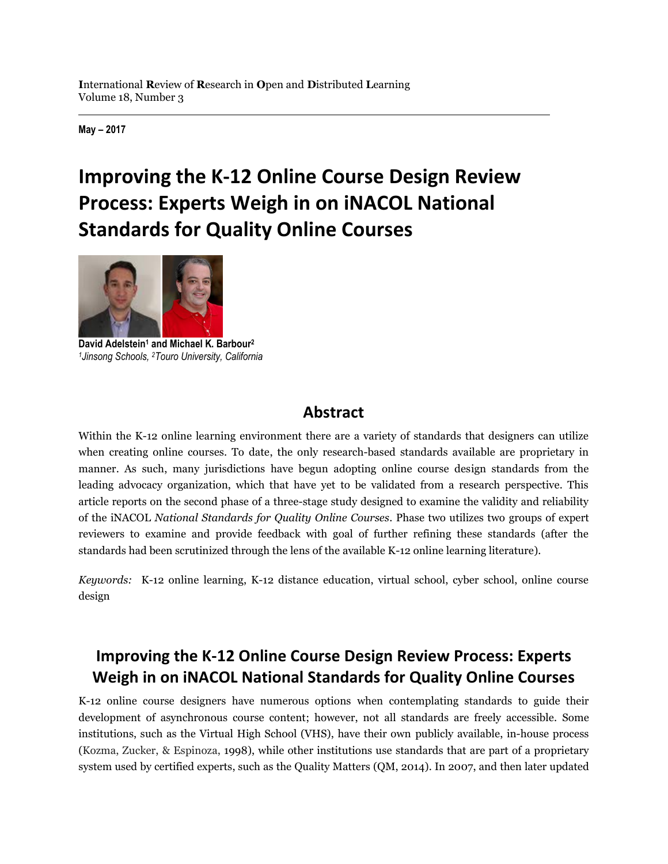**May – 2017**

# **Improving the K-12 Online Course Design Review Process: Experts Weigh in on iNACOL National Standards for Quality Online Courses**



**David Adelstein<sup>1</sup> and Michael K. Barbour<sup>2</sup>** *<sup>1</sup>Jinsong Schools, <sup>2</sup>Touro University, California*

# **Abstract**

Within the K-12 online learning environment there are a variety of standards that designers can utilize when creating online courses. To date, the only research-based standards available are proprietary in manner. As such, many jurisdictions have begun adopting online course design standards from the leading advocacy organization, which that have yet to be validated from a research perspective. This article reports on the second phase of a three-stage study designed to examine the validity and reliability of the iNACOL *National Standards for Quality Online Courses*. Phase two utilizes two groups of expert reviewers to examine and provide feedback with goal of further refining these standards (after the standards had been scrutinized through the lens of the available K-12 online learning literature).

*Keywords:* K-12 online learning, K-12 distance education, virtual school, cyber school, online course design

# **Improving the K-12 Online Course Design Review Process: Experts Weigh in on iNACOL National Standards for Quality Online Courses**

K-12 online course designers have numerous options when contemplating standards to guide their development of asynchronous course content; however, not all standards are freely accessible. Some institutions, such as the Virtual High School (VHS), have their own publicly available, in-house process (Kozma, Zucker, & Espinoza, 1998), while other institutions use standards that are part of a proprietary system used by certified experts, such as the Quality Matters (QM, 2014). In 2007, and then later updated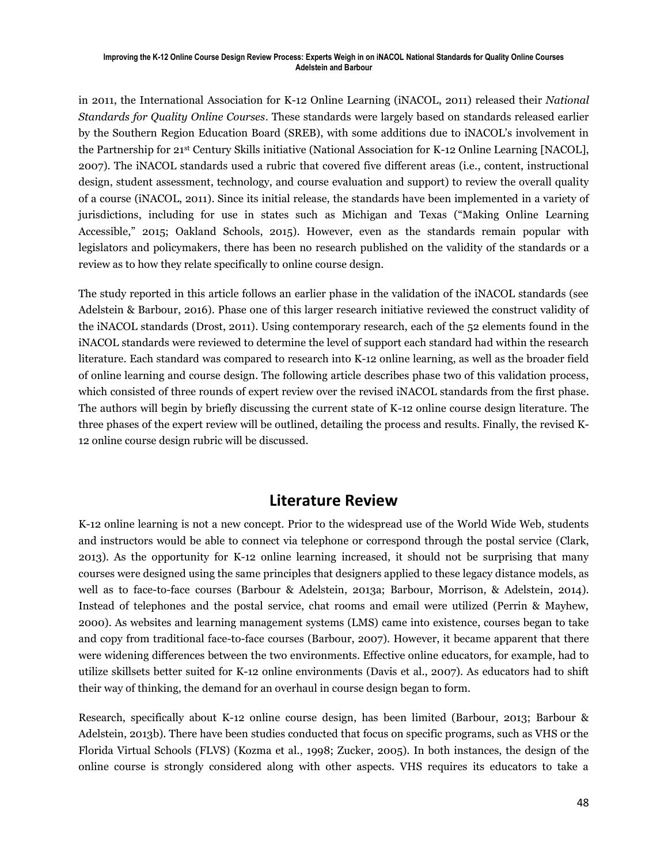in 2011, the International Association for K-12 Online Learning (iNACOL, 2011) released their *National Standards for Quality Online Courses*. These standards were largely based on standards released earlier by the Southern Region Education Board (SREB), with some additions due to iNACOL's involvement in the Partnership for 21st Century Skills initiative (National Association for K-12 Online Learning [NACOL], 2007). The iNACOL standards used a rubric that covered five different areas (i.e., content, instructional design, student assessment, technology, and course evaluation and support) to review the overall quality of a course (iNACOL, 2011). Since its initial release, the standards have been implemented in a variety of jurisdictions, including for use in states such as Michigan and Texas ("Making Online Learning Accessible," 2015; Oakland Schools, 2015). However, even as the standards remain popular with legislators and policymakers, there has been no research published on the validity of the standards or a review as to how they relate specifically to online course design.

The study reported in this article follows an earlier phase in the validation of the iNACOL standards (see Adelstein & Barbour, 2016). Phase one of this larger research initiative reviewed the construct validity of the iNACOL standards (Drost, 2011). Using contemporary research, each of the 52 elements found in the iNACOL standards were reviewed to determine the level of support each standard had within the research literature. Each standard was compared to research into K-12 online learning, as well as the broader field of online learning and course design. The following article describes phase two of this validation process, which consisted of three rounds of expert review over the revised iNACOL standards from the first phase. The authors will begin by briefly discussing the current state of K-12 online course design literature. The three phases of the expert review will be outlined, detailing the process and results. Finally, the revised K-12 online course design rubric will be discussed.

### **Literature Review**

K-12 online learning is not a new concept. Prior to the widespread use of the World Wide Web, students and instructors would be able to connect via telephone or correspond through the postal service (Clark, 2013). As the opportunity for K-12 online learning increased, it should not be surprising that many courses were designed using the same principles that designers applied to these legacy distance models, as well as to face-to-face courses (Barbour & Adelstein, 2013a; Barbour, Morrison, & Adelstein, 2014). Instead of telephones and the postal service, chat rooms and email were utilized (Perrin & Mayhew, 2000). As websites and learning management systems (LMS) came into existence, courses began to take and copy from traditional face-to-face courses (Barbour, 2007). However, it became apparent that there were widening differences between the two environments. Effective online educators, for example, had to utilize skillsets better suited for K-12 online environments (Davis et al., 2007). As educators had to shift their way of thinking, the demand for an overhaul in course design began to form.

Research, specifically about K-12 online course design, has been limited (Barbour, 2013; Barbour & Adelstein, 2013b). There have been studies conducted that focus on specific programs, such as VHS or the Florida Virtual Schools (FLVS) (Kozma et al., 1998; Zucker, 2005). In both instances, the design of the online course is strongly considered along with other aspects. VHS requires its educators to take a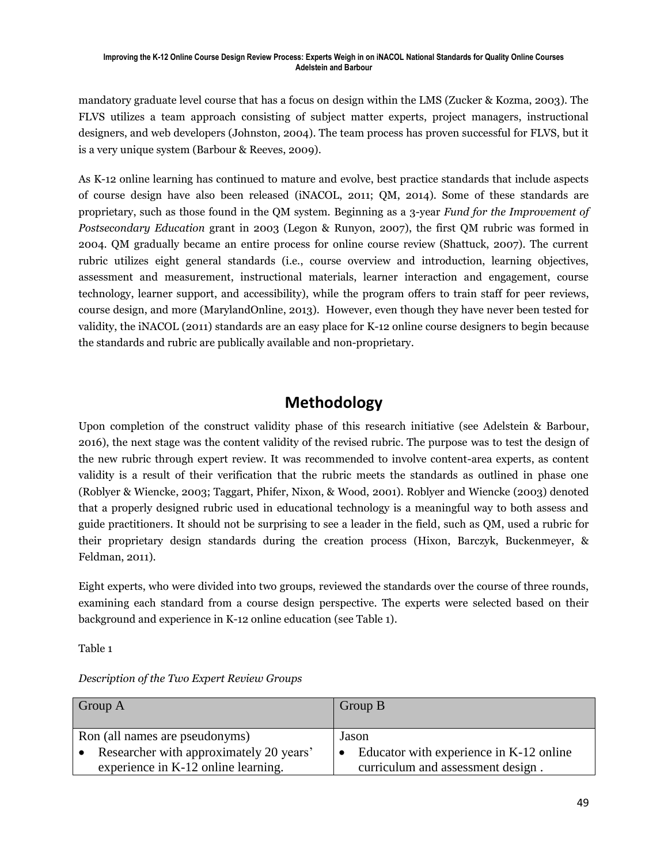mandatory graduate level course that has a focus on design within the LMS (Zucker & Kozma, 2003). The FLVS utilizes a team approach consisting of subject matter experts, project managers, instructional designers, and web developers (Johnston, 2004). The team process has proven successful for FLVS, but it is a very unique system (Barbour & Reeves, 2009).

As K-12 online learning has continued to mature and evolve, best practice standards that include aspects of course design have also been released (iNACOL, 2011; QM, 2014). Some of these standards are proprietary, such as those found in the QM system. Beginning as a 3-year *Fund for the Improvement of Postsecondary Education* grant in 2003 (Legon & Runyon, 2007), the first QM rubric was formed in 2004. QM gradually became an entire process for online course review (Shattuck, 2007). The current rubric utilizes eight general standards (i.e., course overview and introduction, learning objectives, assessment and measurement, instructional materials, learner interaction and engagement, course technology, learner support, and accessibility), while the program offers to train staff for peer reviews, course design, and more (MarylandOnline, 2013). However, even though they have never been tested for validity, the iNACOL (2011) standards are an easy place for K-12 online course designers to begin because the standards and rubric are publically available and non-proprietary.

# **Methodology**

Upon completion of the construct validity phase of this research initiative (see Adelstein & Barbour, 2016), the next stage was the content validity of the revised rubric. The purpose was to test the design of the new rubric through expert review. It was recommended to involve content-area experts, as content validity is a result of their verification that the rubric meets the standards as outlined in phase one (Roblyer & Wiencke, 2003; Taggart, Phifer, Nixon, & Wood, 2001). Roblyer and Wiencke (2003) denoted that a properly designed rubric used in educational technology is a meaningful way to both assess and guide practitioners. It should not be surprising to see a leader in the field, such as QM, used a rubric for their proprietary design standards during the creation process (Hixon, Barczyk, Buckenmeyer, & Feldman, 2011).

Eight experts, who were divided into two groups, reviewed the standards over the course of three rounds, examining each standard from a course design perspective. The experts were selected based on their background and experience in K-12 online education (see Table 1).

Table 1

| Group A                                 | Group B                                 |
|-----------------------------------------|-----------------------------------------|
| Ron (all names are pseudonyms)          | Jason                                   |
| Researcher with approximately 20 years' | Educator with experience in K-12 online |
| experience in K-12 online learning.     | curriculum and assessment design.       |

*Description of the Two Expert Review Groups*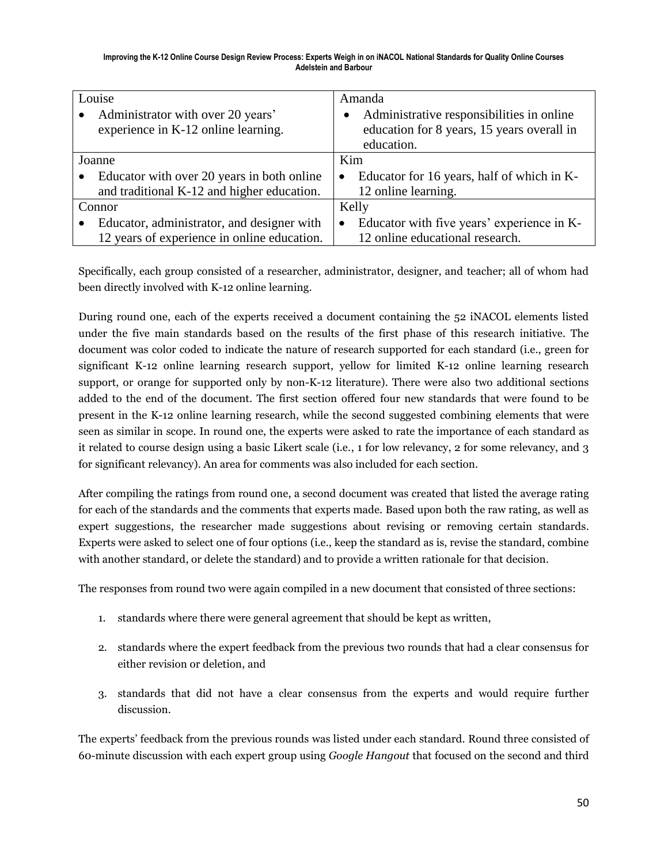| Louise                                                  | Amanda                                                  |
|---------------------------------------------------------|---------------------------------------------------------|
| Administrator with over 20 years'<br>$\bullet$          | Administrative responsibilities in online<br>$\bullet$  |
| experience in K-12 online learning.                     | education for 8 years, 15 years overall in              |
|                                                         | education.                                              |
| Joanne                                                  | Kim                                                     |
| Educator with over 20 years in both online<br>$\bullet$ | Educator for 16 years, half of which in K-<br>$\bullet$ |
| and traditional K-12 and higher education.              | 12 online learning.                                     |
| Connor                                                  | Kelly                                                   |
| Educator, administrator, and designer with              | Educator with five years' experience in K-<br>$\bullet$ |
| 12 years of experience in online education.             | 12 online educational research.                         |

Specifically, each group consisted of a researcher, administrator, designer, and teacher; all of whom had been directly involved with K-12 online learning.

During round one, each of the experts received a document containing the 52 iNACOL elements listed under the five main standards based on the results of the first phase of this research initiative. The document was color coded to indicate the nature of research supported for each standard (i.e., green for significant K-12 online learning research support, yellow for limited K-12 online learning research support, or orange for supported only by non-K-12 literature). There were also two additional sections added to the end of the document. The first section offered four new standards that were found to be present in the K-12 online learning research, while the second suggested combining elements that were seen as similar in scope. In round one, the experts were asked to rate the importance of each standard as it related to course design using a basic Likert scale (i.e., 1 for low relevancy, 2 for some relevancy, and 3 for significant relevancy). An area for comments was also included for each section.

After compiling the ratings from round one, a second document was created that listed the average rating for each of the standards and the comments that experts made. Based upon both the raw rating, as well as expert suggestions, the researcher made suggestions about revising or removing certain standards. Experts were asked to select one of four options (i.e., keep the standard as is, revise the standard, combine with another standard, or delete the standard) and to provide a written rationale for that decision.

The responses from round two were again compiled in a new document that consisted of three sections:

- 1. standards where there were general agreement that should be kept as written,
- 2. standards where the expert feedback from the previous two rounds that had a clear consensus for either revision or deletion, and
- 3. standards that did not have a clear consensus from the experts and would require further discussion.

The experts' feedback from the previous rounds was listed under each standard. Round three consisted of 60-minute discussion with each expert group using *Google Hangout* that focused on the second and third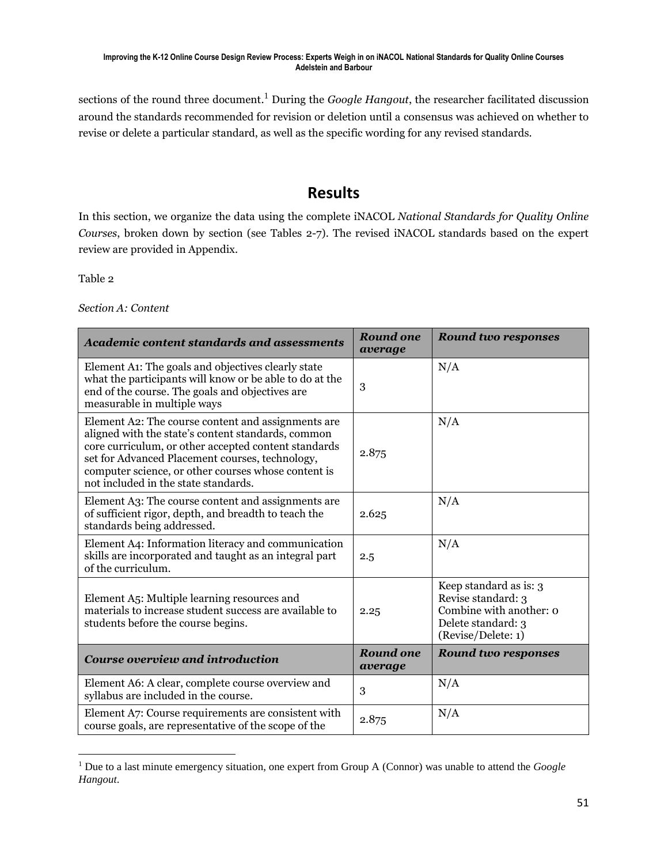sections of the round three document. <sup>1</sup> During the *Google Hangout*, the researcher facilitated discussion around the standards recommended for revision or deletion until a consensus was achieved on whether to revise or delete a particular standard, as well as the specific wording for any revised standards.

# **Results**

In this section, we organize the data using the complete iNACOL *National Standards for Quality Online Courses*, broken down by section (see Tables 2-7). The revised iNACOL standards based on the expert review are provided in Appendix.

Table 2

 $\overline{\phantom{a}}$ 

*Section A: Content*

| <b>Academic content standards and assessments</b>                                                                                                                                                                                                                                                                  | <b>Round one</b><br>average | <b>Round two responses</b>                                                                                          |
|--------------------------------------------------------------------------------------------------------------------------------------------------------------------------------------------------------------------------------------------------------------------------------------------------------------------|-----------------------------|---------------------------------------------------------------------------------------------------------------------|
| Element A1: The goals and objectives clearly state<br>what the participants will know or be able to do at the<br>end of the course. The goals and objectives are<br>measurable in multiple ways                                                                                                                    | 3                           | N/A                                                                                                                 |
| Element A2: The course content and assignments are<br>aligned with the state's content standards, common<br>core curriculum, or other accepted content standards<br>set for Advanced Placement courses, technology,<br>computer science, or other courses whose content is<br>not included in the state standards. | 2.875                       | N/A                                                                                                                 |
| Element A3: The course content and assignments are<br>of sufficient rigor, depth, and breadth to teach the<br>standards being addressed.                                                                                                                                                                           | 2.625                       | N/A                                                                                                                 |
| Element A4: Information literacy and communication<br>skills are incorporated and taught as an integral part<br>of the curriculum.                                                                                                                                                                                 | 2.5                         | N/A                                                                                                                 |
| Element A5: Multiple learning resources and<br>materials to increase student success are available to<br>students before the course begins.                                                                                                                                                                        | 2.25                        | Keep standard as is: 3<br>Revise standard: 3<br>Combine with another: o<br>Delete standard: 3<br>(Revise/Delete: 1) |
| <b>Course overview and introduction</b>                                                                                                                                                                                                                                                                            | <b>Round one</b><br>average | <b>Round two responses</b>                                                                                          |
| Element A6: A clear, complete course overview and<br>syllabus are included in the course.                                                                                                                                                                                                                          | 3                           | N/A                                                                                                                 |
| Element A7: Course requirements are consistent with<br>course goals, are representative of the scope of the                                                                                                                                                                                                        | 2.875                       | N/A                                                                                                                 |

<sup>1</sup> Due to a last minute emergency situation, one expert from Group A (Connor) was unable to attend the *Google Hangout*.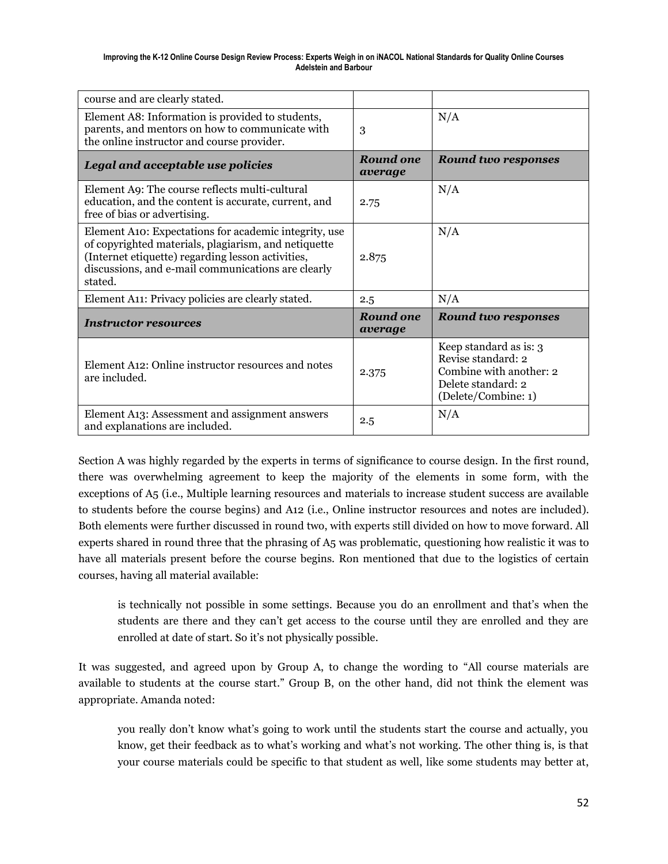| course and are clearly stated.                                                                                                                                                                                                      |                             |                                                                                                                      |
|-------------------------------------------------------------------------------------------------------------------------------------------------------------------------------------------------------------------------------------|-----------------------------|----------------------------------------------------------------------------------------------------------------------|
| Element A8: Information is provided to students,<br>parents, and mentors on how to communicate with<br>the online instructor and course provider.                                                                                   | 3                           | N/A                                                                                                                  |
| Legal and acceptable use policies                                                                                                                                                                                                   | Round one<br>average        | <b>Round two responses</b>                                                                                           |
| Element A9: The course reflects multi-cultural<br>education, and the content is accurate, current, and<br>free of bias or advertising.                                                                                              | 2.75                        | N/A                                                                                                                  |
| Element A10: Expectations for academic integrity, use<br>of copyrighted materials, plagiarism, and netiquette<br>(Internet etiquette) regarding lesson activities,<br>discussions, and e-mail communications are clearly<br>stated. | 2.875                       | N/A                                                                                                                  |
| Element A11: Privacy policies are clearly stated.                                                                                                                                                                                   | 2.5                         | N/A                                                                                                                  |
| <b>Instructor resources</b>                                                                                                                                                                                                         | <b>Round one</b><br>average | <b>Round two responses</b>                                                                                           |
| Element A12: Online instructor resources and notes<br>are included.                                                                                                                                                                 | 2.375                       | Keep standard as is: 3<br>Revise standard: 2<br>Combine with another: 2<br>Delete standard: 2<br>(Delete/Combine: 1) |
| Element A13: Assessment and assignment answers<br>and explanations are included.                                                                                                                                                    | 2.5                         | N/A                                                                                                                  |

Section A was highly regarded by the experts in terms of significance to course design. In the first round, there was overwhelming agreement to keep the majority of the elements in some form, with the exceptions of A5 (i.e., Multiple learning resources and materials to increase student success are available to students before the course begins) and A12 (i.e., Online instructor resources and notes are included). Both elements were further discussed in round two, with experts still divided on how to move forward. All experts shared in round three that the phrasing of A5 was problematic, questioning how realistic it was to have all materials present before the course begins. Ron mentioned that due to the logistics of certain courses, having all material available:

is technically not possible in some settings. Because you do an enrollment and that's when the students are there and they can't get access to the course until they are enrolled and they are enrolled at date of start. So it's not physically possible.

It was suggested, and agreed upon by Group A, to change the wording to "All course materials are available to students at the course start." Group B, on the other hand, did not think the element was appropriate. Amanda noted:

you really don't know what's going to work until the students start the course and actually, you know, get their feedback as to what's working and what's not working. The other thing is, is that your course materials could be specific to that student as well, like some students may better at,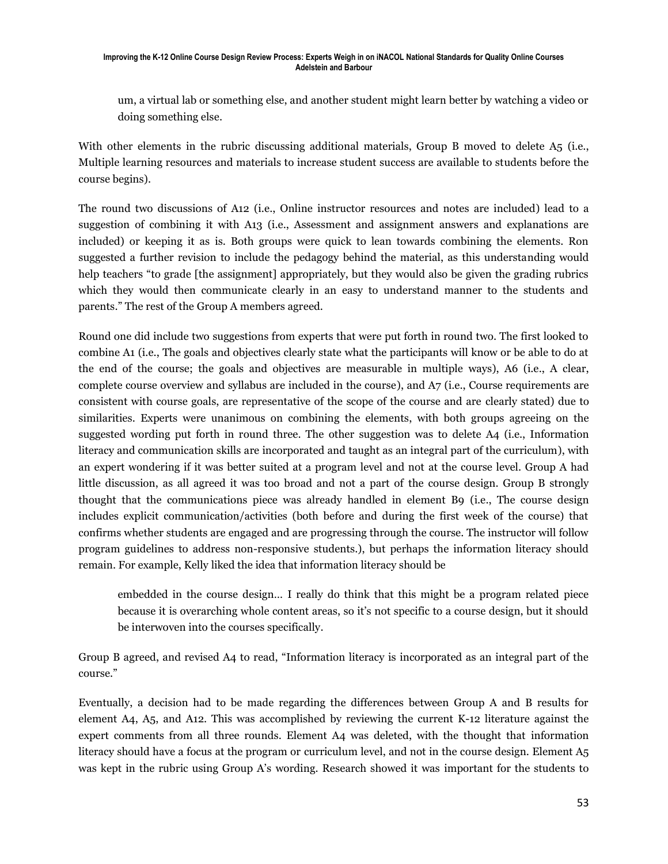um, a virtual lab or something else, and another student might learn better by watching a video or doing something else.

With other elements in the rubric discussing additional materials, Group B moved to delete A5 (i.e., Multiple learning resources and materials to increase student success are available to students before the course begins).

The round two discussions of A12 (i.e., Online instructor resources and notes are included) lead to a suggestion of combining it with A13 (i.e., Assessment and assignment answers and explanations are included) or keeping it as is. Both groups were quick to lean towards combining the elements. Ron suggested a further revision to include the pedagogy behind the material, as this understanding would help teachers "to grade [the assignment] appropriately, but they would also be given the grading rubrics which they would then communicate clearly in an easy to understand manner to the students and parents." The rest of the Group A members agreed.

Round one did include two suggestions from experts that were put forth in round two. The first looked to combine A1 (i.e., The goals and objectives clearly state what the participants will know or be able to do at the end of the course; the goals and objectives are measurable in multiple ways), A6 (i.e., A clear, complete course overview and syllabus are included in the course), and A7 (i.e., Course requirements are consistent with course goals, are representative of the scope of the course and are clearly stated) due to similarities. Experts were unanimous on combining the elements, with both groups agreeing on the suggested wording put forth in round three. The other suggestion was to delete A4 (i.e., Information literacy and communication skills are incorporated and taught as an integral part of the curriculum), with an expert wondering if it was better suited at a program level and not at the course level. Group A had little discussion, as all agreed it was too broad and not a part of the course design. Group B strongly thought that the communications piece was already handled in element B9 (i.e., The course design includes explicit communication/activities (both before and during the first week of the course) that confirms whether students are engaged and are progressing through the course. The instructor will follow program guidelines to address non-responsive students.), but perhaps the information literacy should remain. For example, Kelly liked the idea that information literacy should be

embedded in the course design… I really do think that this might be a program related piece because it is overarching whole content areas, so it's not specific to a course design, but it should be interwoven into the courses specifically.

Group B agreed, and revised A4 to read, "Information literacy is incorporated as an integral part of the course."

Eventually, a decision had to be made regarding the differences between Group A and B results for element A4, A5, and A12. This was accomplished by reviewing the current K-12 literature against the expert comments from all three rounds. Element A4 was deleted, with the thought that information literacy should have a focus at the program or curriculum level, and not in the course design. Element A5 was kept in the rubric using Group A's wording. Research showed it was important for the students to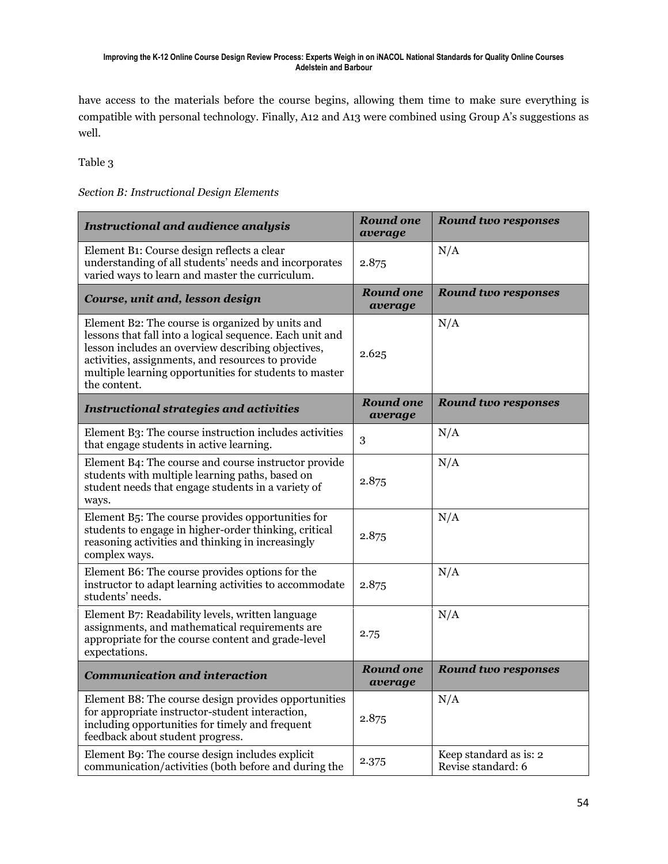have access to the materials before the course begins, allowing them time to make sure everything is compatible with personal technology. Finally, A12 and A13 were combined using Group A's suggestions as well.

Table 3

### *Section B: Instructional Design Elements*

| <b>Instructional and audience analysis</b>                                                                                                                                                                                                                                                        | <b>Round one</b><br>average | <b>Round two responses</b>                   |
|---------------------------------------------------------------------------------------------------------------------------------------------------------------------------------------------------------------------------------------------------------------------------------------------------|-----------------------------|----------------------------------------------|
| Element B1: Course design reflects a clear<br>understanding of all students' needs and incorporates<br>varied ways to learn and master the curriculum.                                                                                                                                            | 2.875                       | N/A                                          |
| Course, unit and, lesson design                                                                                                                                                                                                                                                                   | <b>Round one</b><br>average | <b>Round two responses</b>                   |
| Element B2: The course is organized by units and<br>lessons that fall into a logical sequence. Each unit and<br>lesson includes an overview describing objectives,<br>activities, assignments, and resources to provide<br>multiple learning opportunities for students to master<br>the content. | 2.625                       | N/A                                          |
| <b>Instructional strategies and activities</b>                                                                                                                                                                                                                                                    | <b>Round one</b><br>average | <b>Round two responses</b>                   |
| Element B3: The course instruction includes activities<br>that engage students in active learning.                                                                                                                                                                                                | 3                           | N/A                                          |
| Element B4: The course and course instructor provide<br>students with multiple learning paths, based on<br>student needs that engage students in a variety of<br>ways.                                                                                                                            | 2.875                       | N/A                                          |
| Element B5: The course provides opportunities for<br>students to engage in higher-order thinking, critical<br>reasoning activities and thinking in increasingly<br>complex ways.                                                                                                                  | 2.875                       | N/A                                          |
| Element B6: The course provides options for the<br>instructor to adapt learning activities to accommodate<br>students' needs.                                                                                                                                                                     | 2.875                       | N/A                                          |
| Element B7: Readability levels, written language<br>assignments, and mathematical requirements are<br>appropriate for the course content and grade-level<br>expectations.                                                                                                                         | 2.75                        | N/A                                          |
| <b>Communication and interaction</b>                                                                                                                                                                                                                                                              | <b>Round one</b><br>average | <b>Round two responses</b>                   |
| Element B8: The course design provides opportunities<br>for appropriate instructor-student interaction,<br>including opportunities for timely and frequent<br>feedback about student progress.                                                                                                    | 2.875                       | N/A                                          |
| Element B9: The course design includes explicit<br>communication/activities (both before and during the                                                                                                                                                                                           | 2.375                       | Keep standard as is: 2<br>Revise standard: 6 |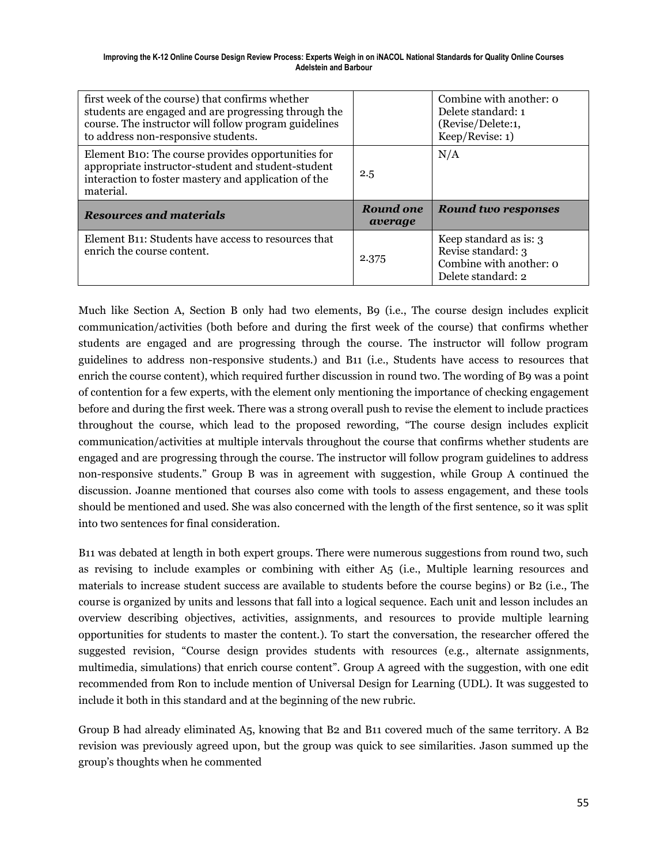| first week of the course) that confirms whether<br>students are engaged and are progressing through the<br>course. The instructor will follow program guidelines<br>to address non-responsive students. |                             | Combine with another: o<br>Delete standard: 1<br>(Revise/Delete:1,<br>Keep/Revise: 1) |
|---------------------------------------------------------------------------------------------------------------------------------------------------------------------------------------------------------|-----------------------------|---------------------------------------------------------------------------------------|
| Element B10: The course provides opportunities for<br>appropriate instructor-student and student-student<br>interaction to foster mastery and application of the<br>material.                           | 2.5                         | N/A                                                                                   |
|                                                                                                                                                                                                         |                             |                                                                                       |
| <b>Resources and materials</b>                                                                                                                                                                          | <b>Round one</b><br>average | <b>Round two responses</b>                                                            |

Much like Section A, Section B only had two elements, B9 (i.e., The course design includes explicit communication/activities (both before and during the first week of the course) that confirms whether students are engaged and are progressing through the course. The instructor will follow program guidelines to address non-responsive students.) and B11 (i.e., Students have access to resources that enrich the course content), which required further discussion in round two. The wording of B9 was a point of contention for a few experts, with the element only mentioning the importance of checking engagement before and during the first week. There was a strong overall push to revise the element to include practices throughout the course, which lead to the proposed rewording, "The course design includes explicit communication/activities at multiple intervals throughout the course that confirms whether students are engaged and are progressing through the course. The instructor will follow program guidelines to address non-responsive students." Group B was in agreement with suggestion, while Group A continued the discussion. Joanne mentioned that courses also come with tools to assess engagement, and these tools should be mentioned and used. She was also concerned with the length of the first sentence, so it was split into two sentences for final consideration.

B11 was debated at length in both expert groups. There were numerous suggestions from round two, such as revising to include examples or combining with either A5 (i.e., Multiple learning resources and materials to increase student success are available to students before the course begins) or B2 (i.e., The course is organized by units and lessons that fall into a logical sequence. Each unit and lesson includes an overview describing objectives, activities, assignments, and resources to provide multiple learning opportunities for students to master the content.). To start the conversation, the researcher offered the suggested revision, "Course design provides students with resources (e.g., alternate assignments, multimedia, simulations) that enrich course content". Group A agreed with the suggestion, with one edit recommended from Ron to include mention of Universal Design for Learning (UDL). It was suggested to include it both in this standard and at the beginning of the new rubric.

Group B had already eliminated A5, knowing that B2 and B11 covered much of the same territory. A B2 revision was previously agreed upon, but the group was quick to see similarities. Jason summed up the group's thoughts when he commented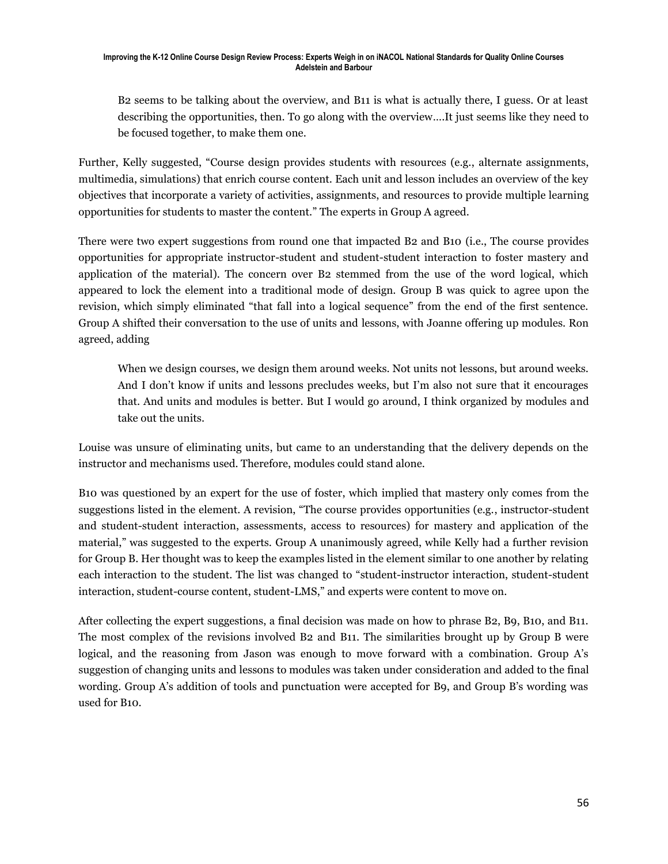B2 seems to be talking about the overview, and B11 is what is actually there, I guess. Or at least describing the opportunities, then. To go along with the overview….It just seems like they need to be focused together, to make them one.

Further, Kelly suggested, "Course design provides students with resources (e.g., alternate assignments, multimedia, simulations) that enrich course content. Each unit and lesson includes an overview of the key objectives that incorporate a variety of activities, assignments, and resources to provide multiple learning opportunities for students to master the content." The experts in Group A agreed.

There were two expert suggestions from round one that impacted B2 and B10 (i.e., The course provides opportunities for appropriate instructor-student and student-student interaction to foster mastery and application of the material). The concern over B2 stemmed from the use of the word logical, which appeared to lock the element into a traditional mode of design. Group B was quick to agree upon the revision, which simply eliminated "that fall into a logical sequence" from the end of the first sentence. Group A shifted their conversation to the use of units and lessons, with Joanne offering up modules. Ron agreed, adding

When we design courses, we design them around weeks. Not units not lessons, but around weeks. And I don't know if units and lessons precludes weeks, but I'm also not sure that it encourages that. And units and modules is better. But I would go around, I think organized by modules and take out the units.

Louise was unsure of eliminating units, but came to an understanding that the delivery depends on the instructor and mechanisms used. Therefore, modules could stand alone.

B10 was questioned by an expert for the use of foster, which implied that mastery only comes from the suggestions listed in the element. A revision, "The course provides opportunities (e.g., instructor-student and student-student interaction, assessments, access to resources) for mastery and application of the material," was suggested to the experts. Group A unanimously agreed, while Kelly had a further revision for Group B. Her thought was to keep the examples listed in the element similar to one another by relating each interaction to the student. The list was changed to "student-instructor interaction, student-student interaction, student-course content, student-LMS," and experts were content to move on.

After collecting the expert suggestions, a final decision was made on how to phrase B2, B9, B10, and B11. The most complex of the revisions involved B2 and B11. The similarities brought up by Group B were logical, and the reasoning from Jason was enough to move forward with a combination. Group A's suggestion of changing units and lessons to modules was taken under consideration and added to the final wording. Group A's addition of tools and punctuation were accepted for B9, and Group B's wording was used for B10.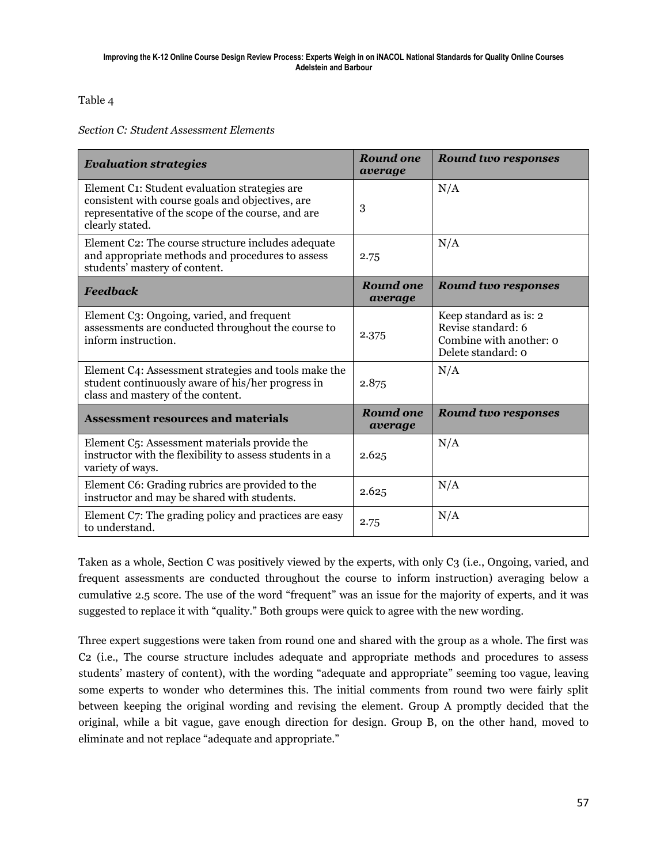Table 4

*Section C: Student Assessment Elements*

| <b>Evaluation strategies</b>                                                                                                                                               | Round one<br>average        | <b>Round two responses</b>                                                                    |
|----------------------------------------------------------------------------------------------------------------------------------------------------------------------------|-----------------------------|-----------------------------------------------------------------------------------------------|
| Element C1: Student evaluation strategies are<br>consistent with course goals and objectives, are<br>representative of the scope of the course, and are<br>clearly stated. | 3                           | N/A                                                                                           |
| Element C2: The course structure includes adequate<br>and appropriate methods and procedures to assess<br>students' mastery of content.                                    | 2.75                        | N/A                                                                                           |
| <b>Feedback</b>                                                                                                                                                            | <b>Round one</b><br>average | <b>Round two responses</b>                                                                    |
| Element C3: Ongoing, varied, and frequent<br>assessments are conducted throughout the course to<br>inform instruction.                                                     | 2.375                       | Keep standard as is: 2<br>Revise standard: 6<br>Combine with another: o<br>Delete standard: o |
| Element C4: Assessment strategies and tools make the<br>student continuously aware of his/her progress in<br>class and mastery of the content.                             | 2.875                       | N/A                                                                                           |
| <b>Assessment resources and materials</b>                                                                                                                                  | <b>Round one</b><br>average | <b>Round two responses</b>                                                                    |
| Element C5: Assessment materials provide the<br>instructor with the flexibility to assess students in a<br>variety of ways.                                                | 2.625                       | N/A                                                                                           |
| Element C6: Grading rubrics are provided to the<br>instructor and may be shared with students.                                                                             | 2.625                       | N/A                                                                                           |
| Element C7: The grading policy and practices are easy<br>to understand.                                                                                                    | 2.75                        | N/A                                                                                           |

Taken as a whole, Section C was positively viewed by the experts, with only C3 (i.e., Ongoing, varied, and frequent assessments are conducted throughout the course to inform instruction) averaging below a cumulative 2.5 score. The use of the word "frequent" was an issue for the majority of experts, and it was suggested to replace it with "quality." Both groups were quick to agree with the new wording.

Three expert suggestions were taken from round one and shared with the group as a whole. The first was C2 (i.e., The course structure includes adequate and appropriate methods and procedures to assess students' mastery of content), with the wording "adequate and appropriate" seeming too vague, leaving some experts to wonder who determines this. The initial comments from round two were fairly split between keeping the original wording and revising the element. Group A promptly decided that the original, while a bit vague, gave enough direction for design. Group B, on the other hand, moved to eliminate and not replace "adequate and appropriate."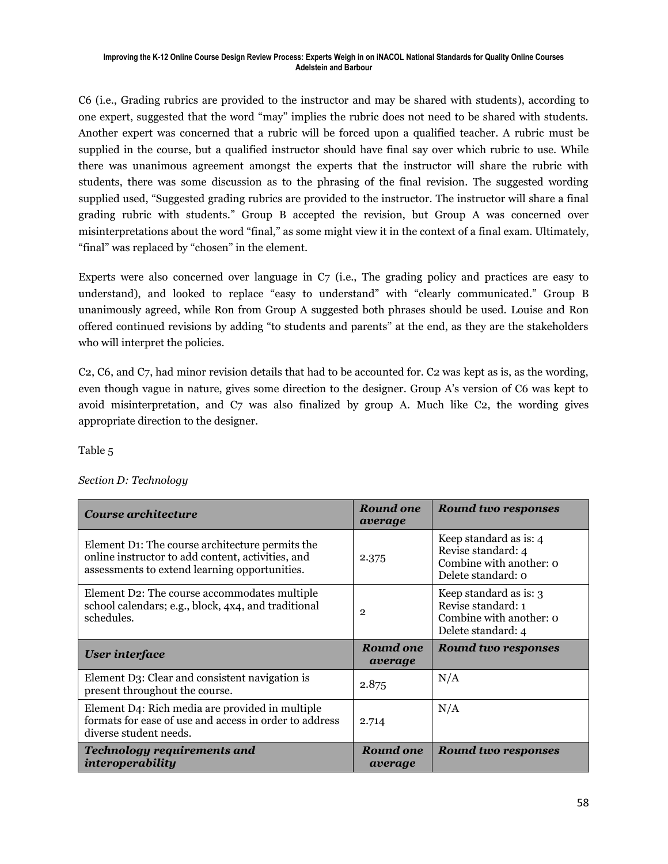C6 (i.e., Grading rubrics are provided to the instructor and may be shared with students), according to one expert, suggested that the word "may" implies the rubric does not need to be shared with students. Another expert was concerned that a rubric will be forced upon a qualified teacher. A rubric must be supplied in the course, but a qualified instructor should have final say over which rubric to use. While there was unanimous agreement amongst the experts that the instructor will share the rubric with students, there was some discussion as to the phrasing of the final revision. The suggested wording supplied used, "Suggested grading rubrics are provided to the instructor. The instructor will share a final grading rubric with students." Group B accepted the revision, but Group A was concerned over misinterpretations about the word "final," as some might view it in the context of a final exam. Ultimately, "final" was replaced by "chosen" in the element.

Experts were also concerned over language in C7 (i.e., The grading policy and practices are easy to understand), and looked to replace "easy to understand" with "clearly communicated." Group B unanimously agreed, while Ron from Group A suggested both phrases should be used. Louise and Ron offered continued revisions by adding "to students and parents" at the end, as they are the stakeholders who will interpret the policies.

C2, C6, and C7, had minor revision details that had to be accounted for. C2 was kept as is, as the wording, even though vague in nature, gives some direction to the designer. Group A's version of C6 was kept to avoid misinterpretation, and C7 was also finalized by group A. Much like C2, the wording gives appropriate direction to the designer.

Table 5

| Section D: Technology |  |  |
|-----------------------|--|--|
|                       |  |  |

| Course architecture                                                                                                                                   | Round one<br>average | <b>Round two responses</b>                                                                    |
|-------------------------------------------------------------------------------------------------------------------------------------------------------|----------------------|-----------------------------------------------------------------------------------------------|
| Element D1: The course architecture permits the<br>online instructor to add content, activities, and<br>assessments to extend learning opportunities. | 2.375                | Keep standard as is: 4<br>Revise standard: 4<br>Combine with another: o<br>Delete standard: 0 |
| Element D2: The course accommodates multiple<br>school calendars; e.g., block, 4x4, and traditional<br>schedules.                                     | $\mathbf{2}$         | Keep standard as is: 3<br>Revise standard: 1<br>Combine with another: o<br>Delete standard: 4 |
| <b>User interface</b>                                                                                                                                 | Round one<br>average | <b>Round two responses</b>                                                                    |
| Element D3: Clear and consistent navigation is<br>present throughout the course.                                                                      | 2.875                | N/A                                                                                           |
| Element D4: Rich media are provided in multiple<br>formats for ease of use and access in order to address<br>diverse student needs.                   | 2.714                | N/A                                                                                           |
| <b>Technology requirements and</b><br>interoperability                                                                                                | Round one<br>average | Round two responses                                                                           |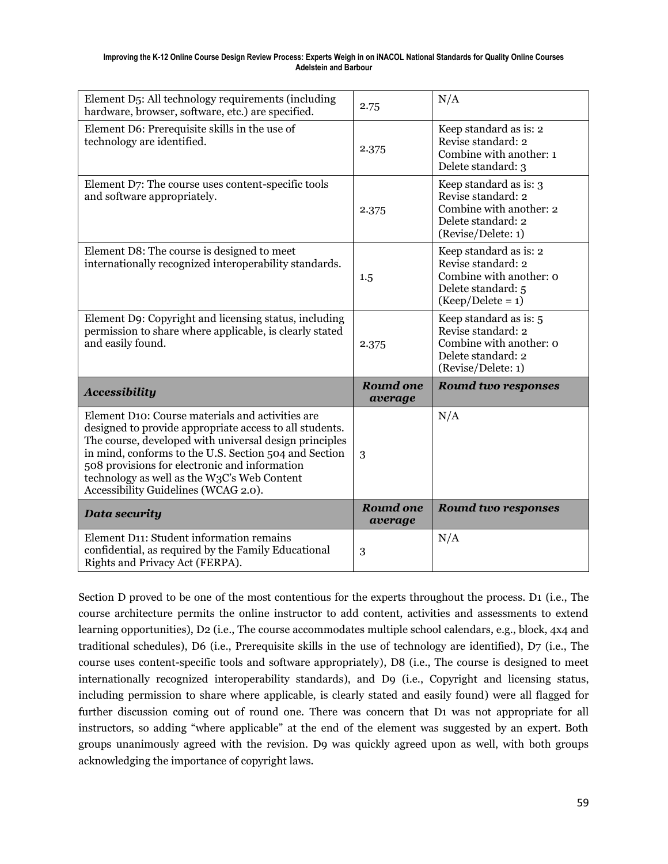| Element D5: All technology requirements (including<br>hardware, browser, software, etc.) are specified.                                                                                                                                                                                                                                                                | 2.75                        | N/A                                                                                                                  |
|------------------------------------------------------------------------------------------------------------------------------------------------------------------------------------------------------------------------------------------------------------------------------------------------------------------------------------------------------------------------|-----------------------------|----------------------------------------------------------------------------------------------------------------------|
| Element D6: Prerequisite skills in the use of<br>technology are identified.                                                                                                                                                                                                                                                                                            | 2.375                       | Keep standard as is: 2<br>Revise standard: 2<br>Combine with another: 1<br>Delete standard: 3                        |
| Element D7: The course uses content-specific tools<br>and software appropriately.                                                                                                                                                                                                                                                                                      | 2.375                       | Keep standard as is: 3<br>Revise standard: 2<br>Combine with another: 2<br>Delete standard: 2<br>(Revise/Delete: 1)  |
| Element D8: The course is designed to meet<br>internationally recognized interoperability standards.                                                                                                                                                                                                                                                                   | 1.5                         | Keep standard as is: 2<br>Revise standard: 2<br>Combine with another: o<br>Delete standard: 5<br>$(Keep/Delete = 1)$ |
| Element D9: Copyright and licensing status, including<br>permission to share where applicable, is clearly stated<br>and easily found.                                                                                                                                                                                                                                  | 2.375                       | Keep standard as is: 5<br>Revise standard: 2<br>Combine with another: o<br>Delete standard: 2<br>(Revise/Delete: 1)  |
| <b>Accessibility</b>                                                                                                                                                                                                                                                                                                                                                   | <b>Round one</b><br>average | <b>Round two responses</b>                                                                                           |
| Element D10: Course materials and activities are<br>designed to provide appropriate access to all students.<br>The course, developed with universal design principles<br>in mind, conforms to the U.S. Section 504 and Section<br>508 provisions for electronic and information<br>technology as well as the W3C's Web Content<br>Accessibility Guidelines (WCAG 2.0). | 3                           | N/A                                                                                                                  |
| <b>Data security</b>                                                                                                                                                                                                                                                                                                                                                   | <b>Round one</b><br>average | <b>Round two responses</b>                                                                                           |
| Element D11: Student information remains<br>confidential, as required by the Family Educational                                                                                                                                                                                                                                                                        |                             | N/A                                                                                                                  |

Section D proved to be one of the most contentious for the experts throughout the process. D1 (i.e., The course architecture permits the online instructor to add content, activities and assessments to extend learning opportunities), D2 (i.e., The course accommodates multiple school calendars, e.g., block, 4x4 and traditional schedules), D6 (i.e., Prerequisite skills in the use of technology are identified), D7 (i.e., The course uses content-specific tools and software appropriately), D8 (i.e., The course is designed to meet internationally recognized interoperability standards), and D9 (i.e., Copyright and licensing status, including permission to share where applicable, is clearly stated and easily found) were all flagged for further discussion coming out of round one. There was concern that D1 was not appropriate for all instructors, so adding "where applicable" at the end of the element was suggested by an expert. Both groups unanimously agreed with the revision. D9 was quickly agreed upon as well, with both groups acknowledging the importance of copyright laws.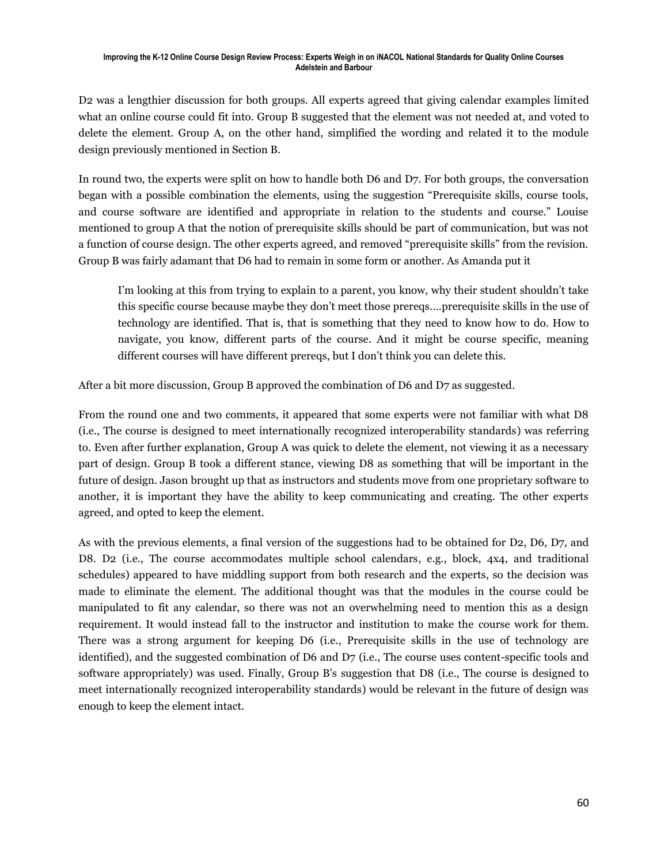D2 was a lengthier discussion for both groups. All experts agreed that giving calendar examples limited what an online course could fit into. Group B suggested that the element was not needed at, and voted to delete the element. Group A, on the other hand, simplified the wording and related it to the module design previously mentioned in Section B.

In round two, the experts were split on how to handle both D6 and D7. For both groups, the conversation began with a possible combination the elements, using the suggestion "Prerequisite skills, course tools, and course software are identified and appropriate in relation to the students and course." Louise mentioned to group A that the notion of prerequisite skills should be part of communication, but was not a function of course design. The other experts agreed, and removed "prerequisite skills" from the revision. Group B was fairly adamant that D6 had to remain in some form or another. As Amanda put it

I'm looking at this from trying to explain to a parent, you know, why their student shouldn't take this specific course because maybe they don't meet those prereqs.…prerequisite skills in the use of technology are identified. That is, that is something that they need to know how to do. How to navigate, you know, different parts of the course. And it might be course specific, meaning different courses will have different prereqs, but I don't think you can delete this.

After a bit more discussion, Group B approved the combination of D6 and D7 as suggested.

From the round one and two comments, it appeared that some experts were not familiar with what D8 (i.e., The course is designed to meet internationally recognized interoperability standards) was referring to. Even after further explanation, Group A was quick to delete the element, not viewing it as a necessary part of design. Group B took a different stance, viewing D8 as something that will be important in the future of design. Jason brought up that as instructors and students move from one proprietary software to another, it is important they have the ability to keep communicating and creating. The other experts agreed, and opted to keep the element.

As with the previous elements, a final version of the suggestions had to be obtained for D2, D6, D7, and D8. D2 (i.e., The course accommodates multiple school calendars, e.g., block, 4x4, and traditional schedules) appeared to have middling support from both research and the experts, so the decision was made to eliminate the element. The additional thought was that the modules in the course could be manipulated to fit any calendar, so there was not an overwhelming need to mention this as a design requirement. It would instead fall to the instructor and institution to make the course work for them. There was a strong argument for keeping D6 (i.e., Prerequisite skills in the use of technology are identified), and the suggested combination of D6 and D7 (i.e., The course uses content-specific tools and software appropriately) was used. Finally, Group B's suggestion that D8 (i.e., The course is designed to meet internationally recognized interoperability standards) would be relevant in the future of design was enough to keep the element intact.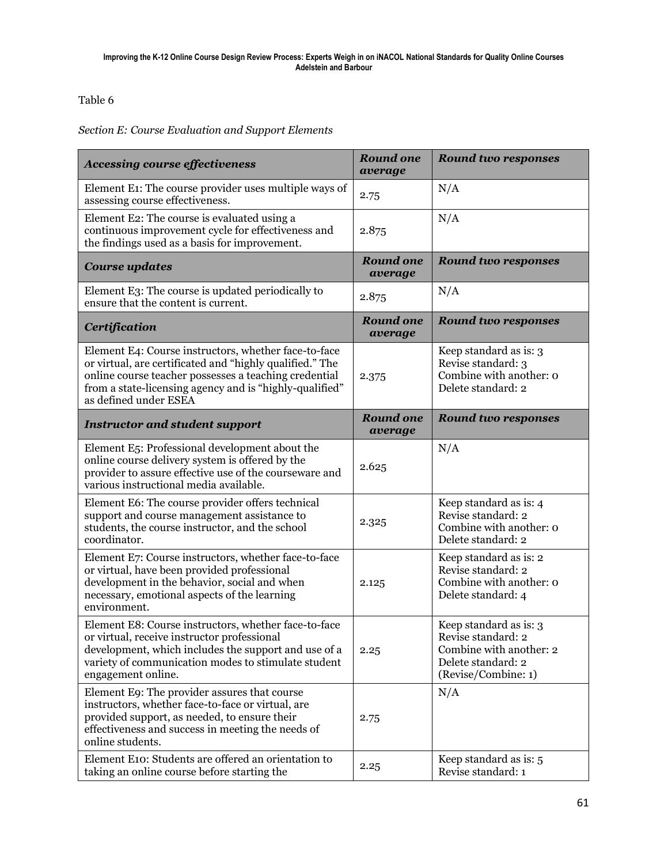### Table 6

### *Section E: Course Evaluation and Support Elements*

| <b>Accessing course effectiveness</b>                                                                                                                                                                                                                         | <b>Round one</b><br>average | <b>Round two responses</b>                                                                                           |
|---------------------------------------------------------------------------------------------------------------------------------------------------------------------------------------------------------------------------------------------------------------|-----------------------------|----------------------------------------------------------------------------------------------------------------------|
| Element E1: The course provider uses multiple ways of<br>assessing course effectiveness.                                                                                                                                                                      | 2.75                        | N/A                                                                                                                  |
| Element E2: The course is evaluated using a<br>continuous improvement cycle for effectiveness and<br>the findings used as a basis for improvement.                                                                                                            | 2.875                       | N/A                                                                                                                  |
| <b>Course updates</b>                                                                                                                                                                                                                                         | <b>Round one</b><br>average | <b>Round two responses</b>                                                                                           |
| Element E3: The course is updated periodically to<br>ensure that the content is current.                                                                                                                                                                      | 2.875                       | N/A                                                                                                                  |
| <b>Certification</b>                                                                                                                                                                                                                                          | <b>Round one</b><br>average | <b>Round two responses</b>                                                                                           |
| Element E4: Course instructors, whether face-to-face<br>or virtual, are certificated and "highly qualified." The<br>online course teacher possesses a teaching credential<br>from a state-licensing agency and is "highly-qualified"<br>as defined under ESEA | 2.375                       | Keep standard as is: 3<br>Revise standard: 3<br>Combine with another: o<br>Delete standard: 2                        |
| <b>Instructor and student support</b>                                                                                                                                                                                                                         | <b>Round one</b><br>average | <b>Round two responses</b>                                                                                           |
| Element E5: Professional development about the<br>online course delivery system is offered by the<br>provider to assure effective use of the courseware and<br>various instructional media available.                                                         | 2.625                       | N/A                                                                                                                  |
| Element E6: The course provider offers technical<br>support and course management assistance to<br>students, the course instructor, and the school<br>coordinator.                                                                                            | 2.325                       | Keep standard as is: 4<br>Revise standard: 2<br>Combine with another: o<br>Delete standard: 2                        |
| Element E7: Course instructors, whether face-to-face<br>or virtual, have been provided professional<br>development in the behavior, social and when<br>necessary, emotional aspects of the learning<br>environment.                                           | 2.125                       | Keep standard as is: 2<br>Revise standard: 2<br>Combine with another: o<br>Delete standard: 4                        |
| Element E8: Course instructors, whether face-to-face<br>or virtual, receive instructor professional<br>development, which includes the support and use of a<br>variety of communication modes to stimulate student<br>engagement online.                      | 2.25                        | Keep standard as is: 3<br>Revise standard: 2<br>Combine with another: 2<br>Delete standard: 2<br>(Revise/Combine: 1) |
| Element E9: The provider assures that course<br>instructors, whether face-to-face or virtual, are<br>provided support, as needed, to ensure their<br>effectiveness and success in meeting the needs of<br>online students.                                    | 2.75                        | N/A                                                                                                                  |
| Element E10: Students are offered an orientation to<br>taking an online course before starting the                                                                                                                                                            | 2.25                        | Keep standard as is: 5<br>Revise standard: 1                                                                         |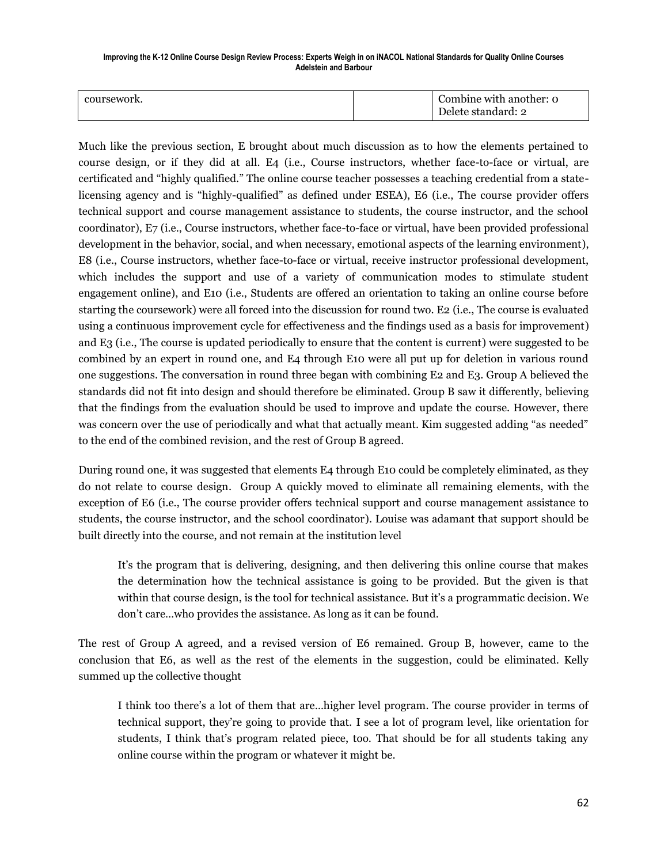| coursework. |  | Combine with another: 0<br>Delete standard: 2 |
|-------------|--|-----------------------------------------------|
|-------------|--|-----------------------------------------------|

Much like the previous section, E brought about much discussion as to how the elements pertained to course design, or if they did at all. E4 (i.e., Course instructors, whether face-to-face or virtual, are certificated and "highly qualified." The online course teacher possesses a teaching credential from a statelicensing agency and is "highly-qualified" as defined under ESEA), E6 (i.e., The course provider offers technical support and course management assistance to students, the course instructor, and the school coordinator), E7 (i.e., Course instructors, whether face-to-face or virtual, have been provided professional development in the behavior, social, and when necessary, emotional aspects of the learning environment), E8 (i.e., Course instructors, whether face-to-face or virtual, receive instructor professional development, which includes the support and use of a variety of communication modes to stimulate student engagement online), and E10 (i.e., Students are offered an orientation to taking an online course before starting the coursework) were all forced into the discussion for round two. E2 (i.e., The course is evaluated using a continuous improvement cycle for effectiveness and the findings used as a basis for improvement) and E3 (i.e., The course is updated periodically to ensure that the content is current) were suggested to be combined by an expert in round one, and E4 through E10 were all put up for deletion in various round one suggestions. The conversation in round three began with combining E2 and E3. Group A believed the standards did not fit into design and should therefore be eliminated. Group B saw it differently, believing that the findings from the evaluation should be used to improve and update the course. However, there was concern over the use of periodically and what that actually meant. Kim suggested adding "as needed" to the end of the combined revision, and the rest of Group B agreed.

During round one, it was suggested that elements E4 through E10 could be completely eliminated, as they do not relate to course design. Group A quickly moved to eliminate all remaining elements, with the exception of E6 (i.e., The course provider offers technical support and course management assistance to students, the course instructor, and the school coordinator). Louise was adamant that support should be built directly into the course, and not remain at the institution level

It's the program that is delivering, designing, and then delivering this online course that makes the determination how the technical assistance is going to be provided. But the given is that within that course design, is the tool for technical assistance. But it's a programmatic decision. We don't care…who provides the assistance. As long as it can be found.

The rest of Group A agreed, and a revised version of E6 remained. Group B, however, came to the conclusion that E6, as well as the rest of the elements in the suggestion, could be eliminated. Kelly summed up the collective thought

I think too there's a lot of them that are…higher level program. The course provider in terms of technical support, they're going to provide that. I see a lot of program level, like orientation for students, I think that's program related piece, too. That should be for all students taking any online course within the program or whatever it might be.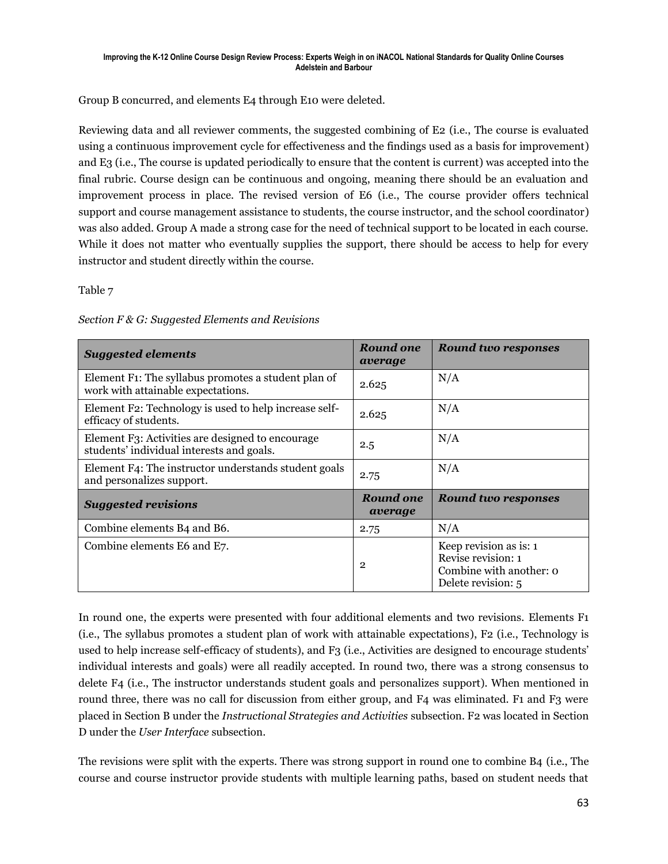Group B concurred, and elements E4 through E10 were deleted.

Reviewing data and all reviewer comments, the suggested combining of E2 (i.e., The course is evaluated using a continuous improvement cycle for effectiveness and the findings used as a basis for improvement) and E3 (i.e., The course is updated periodically to ensure that the content is current) was accepted into the final rubric. Course design can be continuous and ongoing, meaning there should be an evaluation and improvement process in place. The revised version of E6 (i.e., The course provider offers technical support and course management assistance to students, the course instructor, and the school coordinator) was also added. Group A made a strong case for the need of technical support to be located in each course. While it does not matter who eventually supplies the support, there should be access to help for every instructor and student directly within the course.

Table 7

| <b>Suggested elements</b>                                                                              | Round one<br>average        | <b>Round two responses</b>                                                                    |
|--------------------------------------------------------------------------------------------------------|-----------------------------|-----------------------------------------------------------------------------------------------|
| Element F <sub>1</sub> : The syllabus promotes a student plan of<br>work with attainable expectations. | 2.625                       | N/A                                                                                           |
| Element F2: Technology is used to help increase self-<br>efficacy of students.                         | 2.625                       | N/A                                                                                           |
| Element F3: Activities are designed to encourage<br>students' individual interests and goals.          | 2.5                         | N/A                                                                                           |
| Element F4: The instructor understands student goals<br>and personalizes support.                      | 2.75                        | N/A                                                                                           |
| <b>Suggested revisions</b>                                                                             | <b>Round one</b><br>average | <b>Round two responses</b>                                                                    |
| Combine elements B4 and B6.                                                                            | 2.75                        | N/A                                                                                           |
| Combine elements E6 and E7.                                                                            | $\overline{2}$              | Keep revision as is: 1<br>Revise revision: 1<br>Combine with another: o<br>Delete revision: 5 |

|  | Section F & G: Suggested Elements and Revisions |  |  |
|--|-------------------------------------------------|--|--|

In round one, the experts were presented with four additional elements and two revisions. Elements F1 (i.e., The syllabus promotes a student plan of work with attainable expectations), F2 (i.e., Technology is used to help increase self-efficacy of students), and F3 (i.e., Activities are designed to encourage students' individual interests and goals) were all readily accepted. In round two, there was a strong consensus to delete F4 (i.e., The instructor understands student goals and personalizes support). When mentioned in round three, there was no call for discussion from either group, and F4 was eliminated. F1 and F3 were placed in Section B under the *Instructional Strategies and Activities* subsection. F2 was located in Section D under the *User Interface* subsection.

The revisions were split with the experts. There was strong support in round one to combine B4 (i.e., The course and course instructor provide students with multiple learning paths, based on student needs that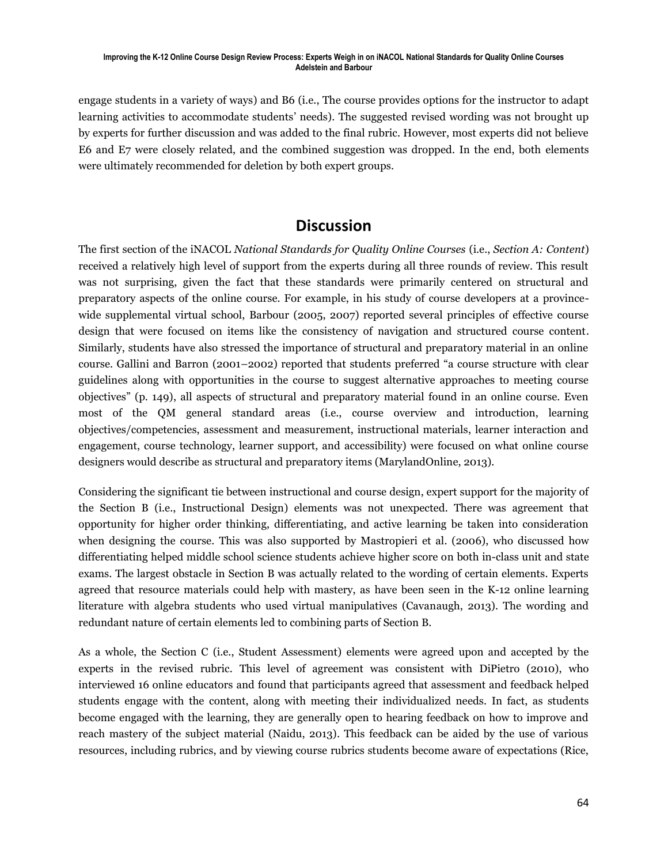engage students in a variety of ways) and B6 (i.e., The course provides options for the instructor to adapt learning activities to accommodate students' needs). The suggested revised wording was not brought up by experts for further discussion and was added to the final rubric. However, most experts did not believe E6 and E7 were closely related, and the combined suggestion was dropped. In the end, both elements were ultimately recommended for deletion by both expert groups.

### **Discussion**

The first section of the iNACOL *National Standards for Quality Online Courses* (i.e., *Section A: Content*) received a relatively high level of support from the experts during all three rounds of review. This result was not surprising, given the fact that these standards were primarily centered on structural and preparatory aspects of the online course. For example, in his study of course developers at a provincewide supplemental virtual school, Barbour (2005, 2007) reported several principles of effective course design that were focused on items like the consistency of navigation and structured course content. Similarly, students have also stressed the importance of structural and preparatory material in an online course. Gallini and Barron (2001–2002) reported that students preferred "a course structure with clear guidelines along with opportunities in the course to suggest alternative approaches to meeting course objectives" (p. 149), all aspects of structural and preparatory material found in an online course. Even most of the QM general standard areas (i.e., course overview and introduction, learning objectives/competencies, assessment and measurement, instructional materials, learner interaction and engagement, course technology, learner support, and accessibility) were focused on what online course designers would describe as structural and preparatory items (MarylandOnline, 2013).

Considering the significant tie between instructional and course design, expert support for the majority of the Section B (i.e., Instructional Design) elements was not unexpected. There was agreement that opportunity for higher order thinking, differentiating, and active learning be taken into consideration when designing the course. This was also supported by Mastropieri et al. (2006), who discussed how differentiating helped middle school science students achieve higher score on both in-class unit and state exams. The largest obstacle in Section B was actually related to the wording of certain elements. Experts agreed that resource materials could help with mastery, as have been seen in the K-12 online learning literature with algebra students who used virtual manipulatives (Cavanaugh, 2013). The wording and redundant nature of certain elements led to combining parts of Section B.

As a whole, the Section C (i.e., Student Assessment) elements were agreed upon and accepted by the experts in the revised rubric. This level of agreement was consistent with DiPietro (2010), who interviewed 16 online educators and found that participants agreed that assessment and feedback helped students engage with the content, along with meeting their individualized needs. In fact, as students become engaged with the learning, they are generally open to hearing feedback on how to improve and reach mastery of the subject material (Naidu, 2013). This feedback can be aided by the use of various resources, including rubrics, and by viewing course rubrics students become aware of expectations (Rice,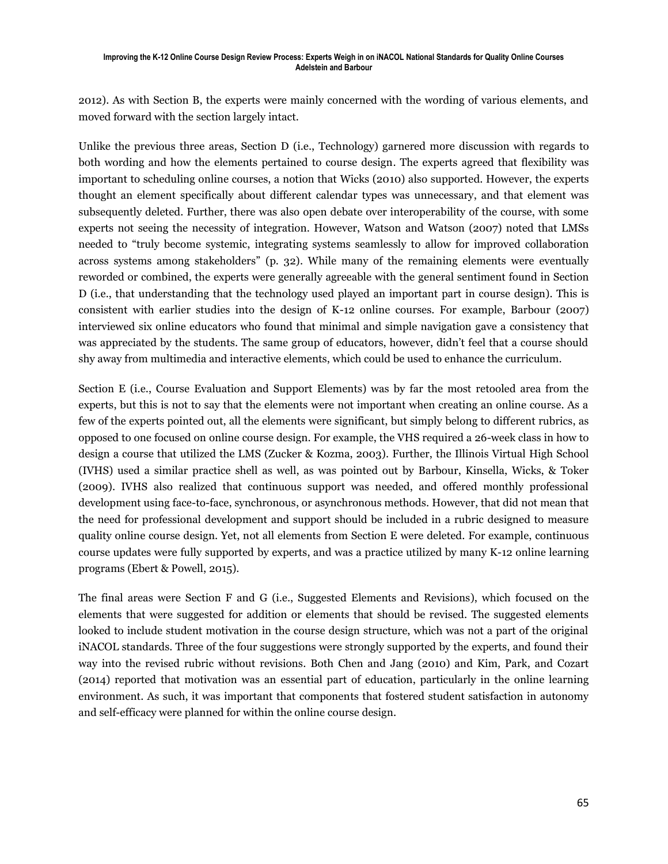2012). As with Section B, the experts were mainly concerned with the wording of various elements, and moved forward with the section largely intact.

Unlike the previous three areas, Section D (i.e., Technology) garnered more discussion with regards to both wording and how the elements pertained to course design. The experts agreed that flexibility was important to scheduling online courses, a notion that Wicks (2010) also supported. However, the experts thought an element specifically about different calendar types was unnecessary, and that element was subsequently deleted. Further, there was also open debate over interoperability of the course, with some experts not seeing the necessity of integration. However, Watson and Watson (2007) noted that LMSs needed to "truly become systemic, integrating systems seamlessly to allow for improved collaboration across systems among stakeholders" (p. 32). While many of the remaining elements were eventually reworded or combined, the experts were generally agreeable with the general sentiment found in Section D (i.e., that understanding that the technology used played an important part in course design). This is consistent with earlier studies into the design of K-12 online courses. For example, Barbour (2007) interviewed six online educators who found that minimal and simple navigation gave a consistency that was appreciated by the students. The same group of educators, however, didn't feel that a course should shy away from multimedia and interactive elements, which could be used to enhance the curriculum.

Section E (i.e., Course Evaluation and Support Elements) was by far the most retooled area from the experts, but this is not to say that the elements were not important when creating an online course. As a few of the experts pointed out, all the elements were significant, but simply belong to different rubrics, as opposed to one focused on online course design. For example, the VHS required a 26-week class in how to design a course that utilized the LMS (Zucker & Kozma, 2003). Further, the Illinois Virtual High School (IVHS) used a similar practice shell as well, as was pointed out by Barbour, Kinsella, Wicks, & Toker (2009). IVHS also realized that continuous support was needed, and offered monthly professional development using face-to-face, synchronous, or asynchronous methods. However, that did not mean that the need for professional development and support should be included in a rubric designed to measure quality online course design. Yet, not all elements from Section E were deleted. For example, continuous course updates were fully supported by experts, and was a practice utilized by many K-12 online learning programs (Ebert & Powell, 2015).

The final areas were Section F and G (i.e., Suggested Elements and Revisions), which focused on the elements that were suggested for addition or elements that should be revised. The suggested elements looked to include student motivation in the course design structure, which was not a part of the original iNACOL standards. Three of the four suggestions were strongly supported by the experts, and found their way into the revised rubric without revisions. Both Chen and Jang (2010) and Kim, Park, and Cozart (2014) reported that motivation was an essential part of education, particularly in the online learning environment. As such, it was important that components that fostered student satisfaction in autonomy and self-efficacy were planned for within the online course design.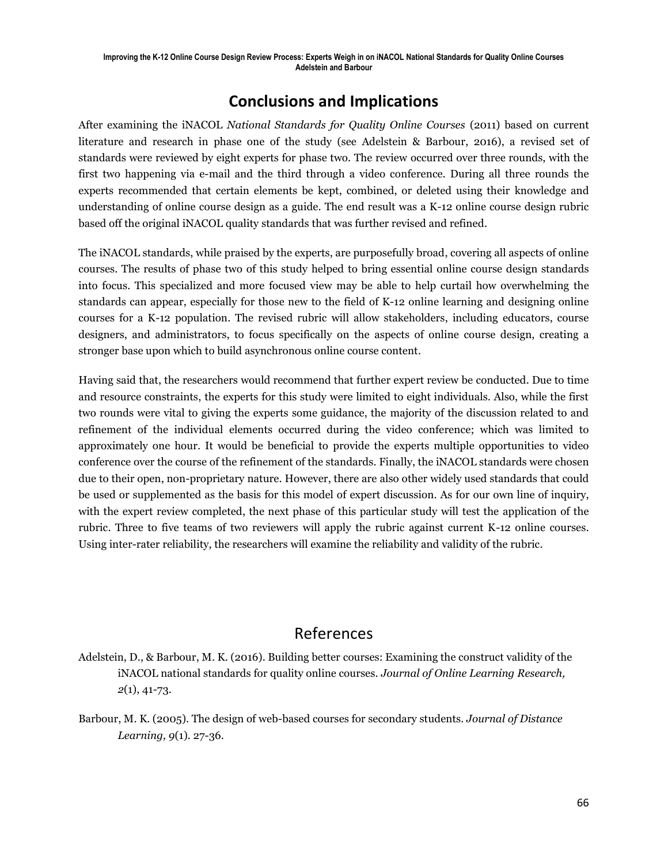## **Conclusions and Implications**

After examining the iNACOL *National Standards for Quality Online Courses* (2011) based on current literature and research in phase one of the study (see Adelstein & Barbour, 2016), a revised set of standards were reviewed by eight experts for phase two. The review occurred over three rounds, with the first two happening via e-mail and the third through a video conference. During all three rounds the experts recommended that certain elements be kept, combined, or deleted using their knowledge and understanding of online course design as a guide. The end result was a K-12 online course design rubric based off the original iNACOL quality standards that was further revised and refined.

The iNACOL standards, while praised by the experts, are purposefully broad, covering all aspects of online courses. The results of phase two of this study helped to bring essential online course design standards into focus. This specialized and more focused view may be able to help curtail how overwhelming the standards can appear, especially for those new to the field of K-12 online learning and designing online courses for a K-12 population. The revised rubric will allow stakeholders, including educators, course designers, and administrators, to focus specifically on the aspects of online course design, creating a stronger base upon which to build asynchronous online course content.

Having said that, the researchers would recommend that further expert review be conducted. Due to time and resource constraints, the experts for this study were limited to eight individuals. Also, while the first two rounds were vital to giving the experts some guidance, the majority of the discussion related to and refinement of the individual elements occurred during the video conference; which was limited to approximately one hour. It would be beneficial to provide the experts multiple opportunities to video conference over the course of the refinement of the standards. Finally, the iNACOL standards were chosen due to their open, non-proprietary nature. However, there are also other widely used standards that could be used or supplemented as the basis for this model of expert discussion. As for our own line of inquiry, with the expert review completed, the next phase of this particular study will test the application of the rubric. Three to five teams of two reviewers will apply the rubric against current K-12 online courses. Using inter-rater reliability, the researchers will examine the reliability and validity of the rubric.

# References

- Adelstein, D., & Barbour, M. K. (2016). Building better courses: Examining the construct validity of the iNACOL national standards for quality online courses. *Journal of Online Learning Research, 2*(1), 41-73.
- Barbour, M. K. (2005). The design of web-based courses for secondary students. *Journal of Distance Learning, 9*(1). 27-36.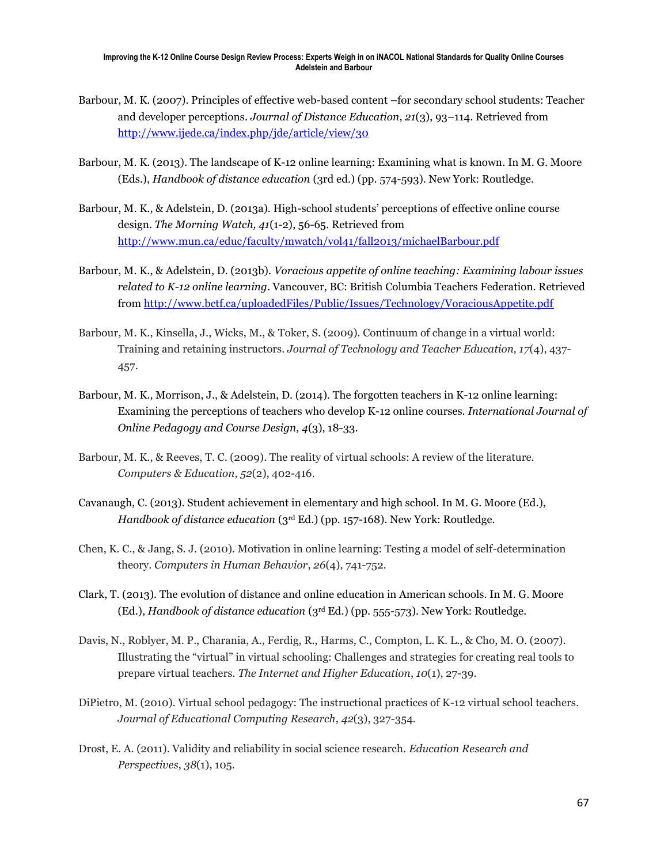- Barbour, M. K. (2007). Principles of effective web-based content –for secondary school students: Teacher and developer perceptions. *Journal of Distance Education*, *21*(3), 93–114. Retrieved from <http://www.ijede.ca/index.php/jde/article/view/30>
- Barbour, M. K. (2013). The landscape of K-12 online learning: Examining what is known. In M. G. Moore (Eds.), *Handbook of distance education* (3rd ed.) (pp. 574-593). New York: Routledge.
- Barbour, M. K., & Adelstein, D. (2013a). High-school students' perceptions of effective online course design. *The Morning Watch, 41*(1-2), 56-65. Retrieved from <http://www.mun.ca/educ/faculty/mwatch/vol41/fall2013/michaelBarbour.pdf>
- Barbour, M. K., & Adelstein, D. (2013b). *Voracious appetite of online teaching: Examining labour issues related to K-12 online learning*. Vancouver, BC: British Columbia Teachers Federation. Retrieved from<http://www.bctf.ca/uploadedFiles/Public/Issues/Technology/VoraciousAppetite.pdf>
- Barbour, M. K., Kinsella, J., Wicks, M., & Toker, S. (2009). Continuum of change in a virtual world: Training and retaining instructors. *Journal of Technology and Teacher Education, 17*(4), 437- 457.
- Barbour, M. K., Morrison, J., & Adelstein, D. (2014). The forgotten teachers in K-12 online learning: Examining the perceptions of teachers who develop K-12 online courses. *International Journal of Online Pedagogy and Course Design, 4*(3), 18-33.
- Barbour, M. K., & Reeves, T. C. (2009). The reality of virtual schools: A review of the literature. *Computers & Education*, *52*(2), 402-416.
- Cavanaugh, C. (2013). Student achievement in elementary and high school. In M. G. Moore (Ed.), *Handbook of distance education* (3rd Ed.) (pp. 157-168). New York: Routledge.
- Chen, K. C., & Jang, S. J. (2010). Motivation in online learning: Testing a model of self-determination theory. *Computers in Human Behavior*, *26*(4), 741-752.
- Clark, T. (2013). The evolution of distance and online education in American schools. In M. G. Moore (Ed.), *Handbook of distance education* (3rd Ed.) (pp. 555-573). New York: Routledge.
- Davis, N., Roblyer, M. P., Charania, A., Ferdig, R., Harms, C., Compton, L. K. L., & Cho, M. O. (2007). Illustrating the "virtual" in virtual schooling: Challenges and strategies for creating real tools to prepare virtual teachers. *The Internet and Higher Education*, *10*(1), 27-39.
- DiPietro, M. (2010). Virtual school pedagogy: The instructional practices of K-12 virtual school teachers. *Journal of Educational Computing Research*, *42*(3), 327-354.
- Drost, E. A. (2011). Validity and reliability in social science research. *Education Research and Perspectives*, *38*(1), 105.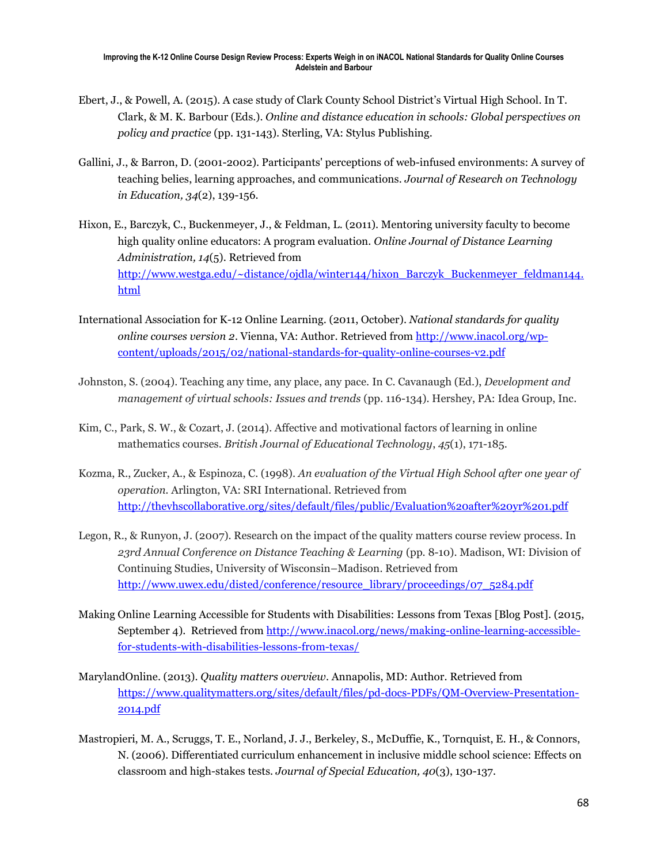- Ebert, J., & Powell, A. (2015). A case study of Clark County School District's Virtual High School. In T. Clark, & M. K. Barbour (Eds.). *Online and distance education in schools: Global perspectives on policy and practice* (pp. 131-143). Sterling, VA: Stylus Publishing.
- Gallini, J., & Barron, D. (2001-2002). Participants' perceptions of web-infused environments: A survey of teaching belies, learning approaches, and communications. *Journal of Research on Technology in Education, 34*(2), 139-156.
- Hixon, E., Barczyk, C., Buckenmeyer, J., & Feldman, L. (2011). Mentoring university faculty to become high quality online educators: A program evaluation. *Online Journal of Distance Learning Administration, 14*(5). Retrieved from [http://www.westga.edu/~distance/ojdla/winter144/hixon\\_Barczyk\\_Buckenmeyer\\_feldman144.](http://www.westga.edu/~distance/ojdla/winter144/hixon_Barczyk_Buckenmeyer_feldman144.html) [html](http://www.westga.edu/~distance/ojdla/winter144/hixon_Barczyk_Buckenmeyer_feldman144.html)
- International Association for K-12 Online Learning. (2011, October). *National standards for quality online courses version 2*. Vienna, VA: Author. Retrieved from [http://www.inacol.org/wp](http://www.inacol.org/wp-content/uploads/2015/02/national-standards-for-quality-online-courses-v2.pdf)[content/uploads/2015/02/national-standards-for-quality-online-courses-v2.pdf](http://www.inacol.org/wp-content/uploads/2015/02/national-standards-for-quality-online-courses-v2.pdf)
- Johnston, S. (2004). Teaching any time, any place, any pace. In C. Cavanaugh (Ed.), *Development and management of virtual schools: Issues and trends* (pp. 116-134). Hershey, PA: Idea Group, Inc.
- Kim, C., Park, S. W., & Cozart, J. (2014). Affective and motivational factors of learning in online mathematics courses. *British Journal of Educational Technology*, *45*(1), 171-185.
- Kozma, R., Zucker, A., & Espinoza, C. (1998). *An evaluation of the Virtual High School after one year of operation.* Arlington, VA: SRI International. Retrieved from <http://thevhscollaborative.org/sites/default/files/public/Evaluation%20after%20yr%201.pdf>
- Legon, R., & Runyon, J. (2007). Research on the impact of the quality matters course review process. In *23rd Annual Conference on Distance Teaching & Learning* (pp. 8-10). Madison, WI: Division of Continuing Studies, University of Wisconsin–Madison. Retrieved from [http://www.uwex.edu/disted/conference/resource\\_library/proceedings/07\\_5284.pdf](http://www.uwex.edu/disted/conference/resource_library/proceedings/07_5284.pdf)
- Making Online Learning Accessible for Students with Disabilities: Lessons from Texas [Blog Post]. (2015, September 4). Retrieved from [http://www.inacol.org/news/making-online-learning-accessible](http://www.inacol.org/news/making-online-learning-accessible-for-students-with-disabilities-lessons-from-texas/)[for-students-with-disabilities-lessons-from-texas/](http://www.inacol.org/news/making-online-learning-accessible-for-students-with-disabilities-lessons-from-texas/)
- MarylandOnline. (2013). *Quality matters overview*. Annapolis, MD: Author. Retrieved from [https://www.qualitymatters.org/sites/default/files/pd-docs-PDFs/QM-Overview-Presentation-](https://www.qualitymatters.org/sites/default/files/pd-docs-PDFs/QM-Overview-Presentation-2014.pdf)[2014.pdf](https://www.qualitymatters.org/sites/default/files/pd-docs-PDFs/QM-Overview-Presentation-2014.pdf)
- Mastropieri, M. A., Scruggs, T. E., Norland, J. J., Berkeley, S., McDuffie, K., Tornquist, E. H., & Connors, N. (2006). Differentiated curriculum enhancement in inclusive middle school science: Effects on classroom and high-stakes tests. *Journal of Special Education, 40*(3), 130-137.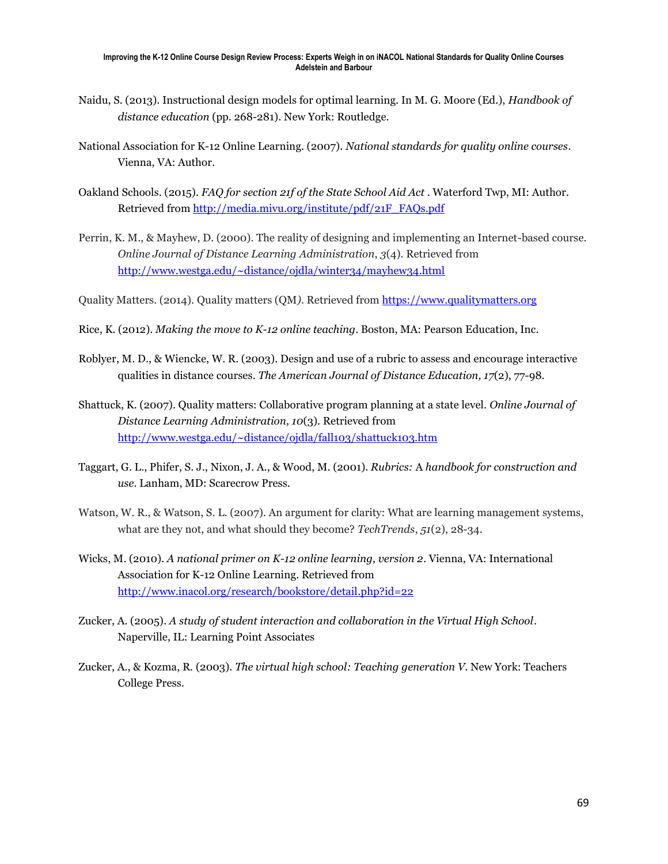- Naidu, S. (2013). Instructional design models for optimal learning. In M. G. Moore (Ed.), *Handbook of distance education* (pp. 268-281). New York: Routledge.
- National Association for K-12 Online Learning. (2007). *National standards for quality online courses*. Vienna, VA: Author.
- Oakland Schools. (2015). *FAQ for section 21f of the State School Aid Act* . Waterford Twp, MI: Author. Retrieved from [http://media.mivu.org/institute/pdf/21F\\_FAQs.pdf](http://media.mivu.org/institute/pdf/21F_FAQs.pdf)
- Perrin, K. M., & Mayhew, D. (2000). The reality of designing and implementing an Internet-based course. *Online Journal of Distance Learning Administration*, *3*(4). Retrieved from <http://www.westga.edu/~distance/ojdla/winter34/mayhew34.html>
- Quality Matters. (2014). Quality matters (QM*)*. Retrieved from [https://www.qualitymatters.org](https://www.qualitymatters.org/)
- Rice, K. (2012). *Making the move to K-12 online teaching*. Boston, MA: Pearson Education, Inc.
- Roblyer, M. D., & Wiencke, W. R. (2003). Design and use of a rubric to assess and encourage interactive qualities in distance courses. *The American Journal of Distance Education, 17*(2), 77-98.
- Shattuck, K. (2007). Quality matters: Collaborative program planning at a state level. *Online Journal of Distance Learning Administration, 10*(3). Retrieved from <http://www.westga.edu/~distance/ojdla/fall103/shattuck103.htm>
- Taggart, G. L., Phifer, S. J., Nixon, J. A., & Wood, M. (2001). *Rubrics:* A *handbook for construction and use.* Lanham, MD: Scarecrow Press.
- Watson, W. R., & Watson, S. L. (2007). An argument for clarity: What are learning management systems, what are they not, and what should they become? *TechTrends*, *51*(2), 28-34.
- Wicks, M. (2010). *A national primer on K-12 online learning, version 2*. Vienna, VA: International Association for K-12 Online Learning. Retrieved from <http://www.inacol.org/research/bookstore/detail.php?id=22>
- Zucker, A. (2005). *A study of student interaction and collaboration in the Virtual High School*. Naperville, IL: Learning Point Associates
- Zucker, A., & Kozma, R. (2003). *The virtual high school: Teaching generation V*. New York: Teachers College Press.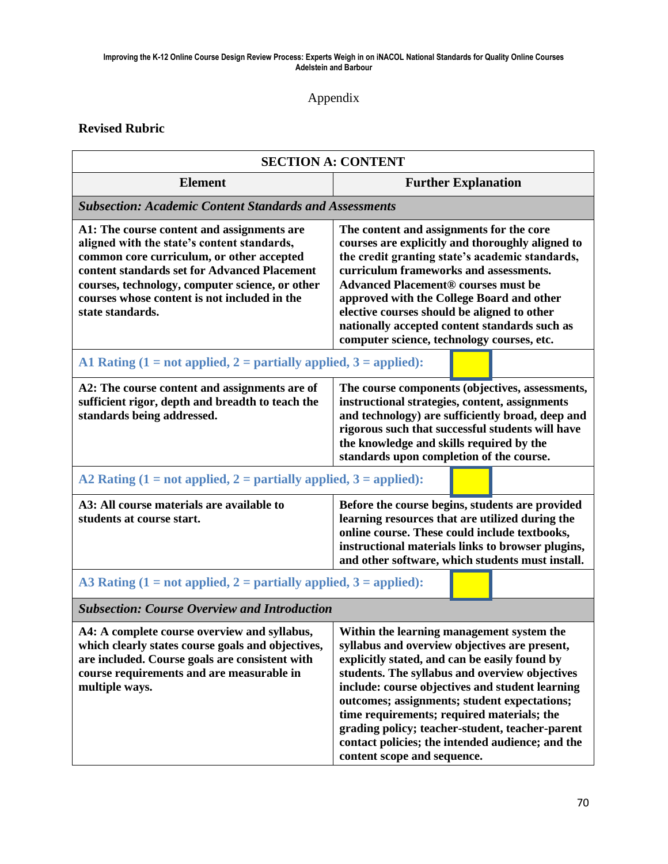### Appendix

### **Revised Rubric**

| <b>SECTION A: CONTENT</b>                                                                                                                                                                                                                                                                                     |                                                                                                                                                                                                                                                                                                                                                                                                                                                                                      |  |
|---------------------------------------------------------------------------------------------------------------------------------------------------------------------------------------------------------------------------------------------------------------------------------------------------------------|--------------------------------------------------------------------------------------------------------------------------------------------------------------------------------------------------------------------------------------------------------------------------------------------------------------------------------------------------------------------------------------------------------------------------------------------------------------------------------------|--|
| <b>Element</b>                                                                                                                                                                                                                                                                                                | <b>Further Explanation</b>                                                                                                                                                                                                                                                                                                                                                                                                                                                           |  |
| <b>Subsection: Academic Content Standards and Assessments</b>                                                                                                                                                                                                                                                 |                                                                                                                                                                                                                                                                                                                                                                                                                                                                                      |  |
| A1: The course content and assignments are<br>aligned with the state's content standards,<br>common core curriculum, or other accepted<br>content standards set for Advanced Placement<br>courses, technology, computer science, or other<br>courses whose content is not included in the<br>state standards. | The content and assignments for the core<br>courses are explicitly and thoroughly aligned to<br>the credit granting state's academic standards,<br>curriculum frameworks and assessments.<br><b>Advanced Placement® courses must be</b><br>approved with the College Board and other<br>elective courses should be aligned to other<br>nationally accepted content standards such as<br>computer science, technology courses, etc.                                                   |  |
| A1 Rating $(1 = not applied, 2 = partially applied, 3 = applied):$                                                                                                                                                                                                                                            |                                                                                                                                                                                                                                                                                                                                                                                                                                                                                      |  |
| A2: The course content and assignments are of<br>sufficient rigor, depth and breadth to teach the<br>standards being addressed.                                                                                                                                                                               | The course components (objectives, assessments,<br>instructional strategies, content, assignments<br>and technology) are sufficiently broad, deep and<br>rigorous such that successful students will have<br>the knowledge and skills required by the<br>standards upon completion of the course.                                                                                                                                                                                    |  |
| A2 Rating $(1 = not applied, 2 = partially applied, 3 = applied):$                                                                                                                                                                                                                                            |                                                                                                                                                                                                                                                                                                                                                                                                                                                                                      |  |
| A3: All course materials are available to<br>students at course start.                                                                                                                                                                                                                                        | Before the course begins, students are provided<br>learning resources that are utilized during the<br>online course. These could include textbooks,<br>instructional materials links to browser plugins,<br>and other software, which students must install.                                                                                                                                                                                                                         |  |
| A3 Rating $(1 = not applied, 2 = partially applied, 3 = applied):$                                                                                                                                                                                                                                            |                                                                                                                                                                                                                                                                                                                                                                                                                                                                                      |  |
| <b>Subsection: Course Overview and Introduction</b>                                                                                                                                                                                                                                                           |                                                                                                                                                                                                                                                                                                                                                                                                                                                                                      |  |
| A4: A complete course overview and syllabus,<br>which clearly states course goals and objectives,<br>are included. Course goals are consistent with<br>course requirements and are measurable in<br>multiple ways.                                                                                            | Within the learning management system the<br>syllabus and overview objectives are present,<br>explicitly stated, and can be easily found by<br>students. The syllabus and overview objectives<br>include: course objectives and student learning<br>outcomes; assignments; student expectations;<br>time requirements; required materials; the<br>grading policy; teacher-student, teacher-parent<br>contact policies; the intended audience; and the<br>content scope and sequence. |  |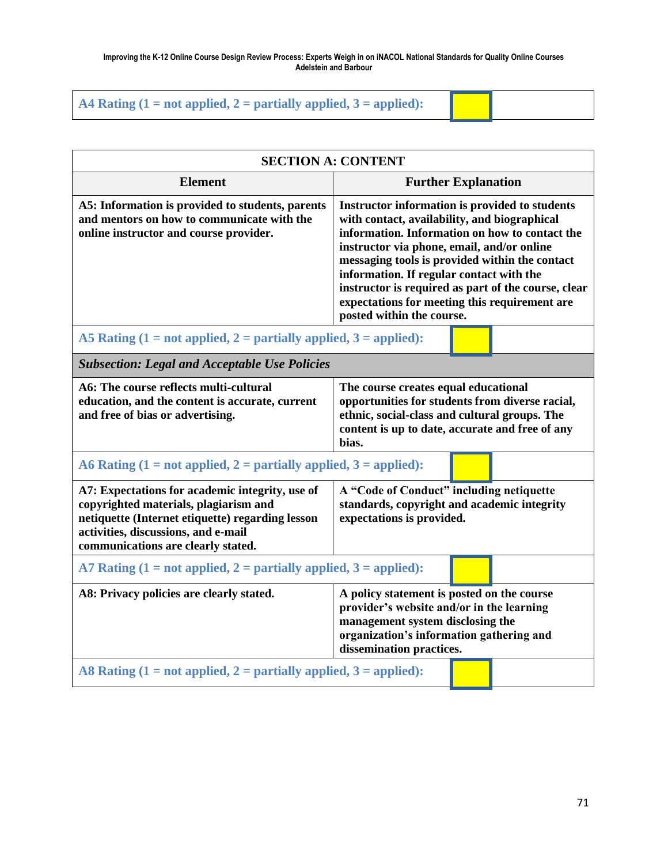| A4 Rating $(1 = not applied, 2 = partially applied, 3 = applied):$ |  |  |
|--------------------------------------------------------------------|--|--|
|--------------------------------------------------------------------|--|--|

| <b>SECTION A: CONTENT</b>                                                                                                                                                                                                 |                                                                                                                                                                                                                                                                                                                                                                                                                                   |  |  |
|---------------------------------------------------------------------------------------------------------------------------------------------------------------------------------------------------------------------------|-----------------------------------------------------------------------------------------------------------------------------------------------------------------------------------------------------------------------------------------------------------------------------------------------------------------------------------------------------------------------------------------------------------------------------------|--|--|
| <b>Element</b>                                                                                                                                                                                                            | <b>Further Explanation</b>                                                                                                                                                                                                                                                                                                                                                                                                        |  |  |
| A5: Information is provided to students, parents<br>and mentors on how to communicate with the<br>online instructor and course provider.                                                                                  | Instructor information is provided to students<br>with contact, availability, and biographical<br>information. Information on how to contact the<br>instructor via phone, email, and/or online<br>messaging tools is provided within the contact<br>information. If regular contact with the<br>instructor is required as part of the course, clear<br>expectations for meeting this requirement are<br>posted within the course. |  |  |
| A5 Rating $(1 = not applied, 2 = partially applied, 3 = applied)$ :                                                                                                                                                       |                                                                                                                                                                                                                                                                                                                                                                                                                                   |  |  |
| <b>Subsection: Legal and Acceptable Use Policies</b>                                                                                                                                                                      |                                                                                                                                                                                                                                                                                                                                                                                                                                   |  |  |
| A6: The course reflects multi-cultural<br>education, and the content is accurate, current<br>and free of bias or advertising.                                                                                             | The course creates equal educational<br>opportunities for students from diverse racial,<br>ethnic, social-class and cultural groups. The<br>content is up to date, accurate and free of any<br>bias.                                                                                                                                                                                                                              |  |  |
| A6 Rating $(1 = not applied, 2 = partially applied, 3 = applied):$                                                                                                                                                        |                                                                                                                                                                                                                                                                                                                                                                                                                                   |  |  |
| A7: Expectations for academic integrity, use of<br>copyrighted materials, plagiarism and<br>netiquette (Internet etiquette) regarding lesson<br>activities, discussions, and e-mail<br>communications are clearly stated. | A "Code of Conduct" including netiquette<br>standards, copyright and academic integrity<br>expectations is provided.                                                                                                                                                                                                                                                                                                              |  |  |
| A7 Rating $(1 = not applied, 2 = partially applied, 3 = applied):$                                                                                                                                                        |                                                                                                                                                                                                                                                                                                                                                                                                                                   |  |  |
| A8: Privacy policies are clearly stated.                                                                                                                                                                                  | A policy statement is posted on the course<br>provider's website and/or in the learning<br>management system disclosing the<br>organization's information gathering and<br>dissemination practices.                                                                                                                                                                                                                               |  |  |
| A8 Rating $(1 = not applied, 2 = partially applied, 3 = applied)$ :                                                                                                                                                       |                                                                                                                                                                                                                                                                                                                                                                                                                                   |  |  |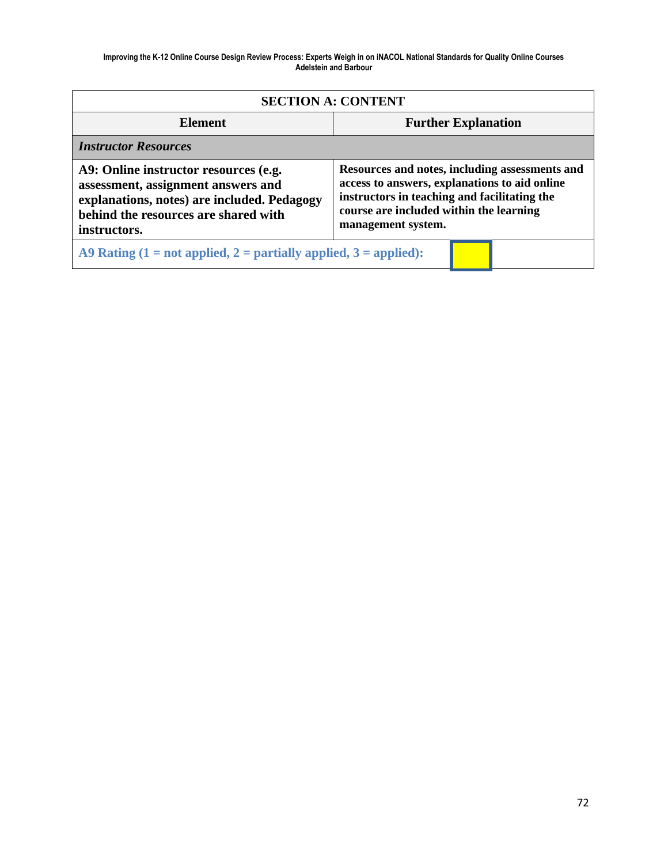| <b>SECTION A: CONTENT</b>                                                                                                                                                          |                                                                                                                                                                                                                  |  |
|------------------------------------------------------------------------------------------------------------------------------------------------------------------------------------|------------------------------------------------------------------------------------------------------------------------------------------------------------------------------------------------------------------|--|
| <b>Element</b>                                                                                                                                                                     | <b>Further Explanation</b>                                                                                                                                                                                       |  |
| <b>Instructor Resources</b>                                                                                                                                                        |                                                                                                                                                                                                                  |  |
| A9: Online instructor resources (e.g.<br>assessment, assignment answers and<br>explanations, notes) are included. Pedagogy<br>behind the resources are shared with<br>instructors. | Resources and notes, including assessments and<br>access to answers, explanations to aid online<br>instructors in teaching and facilitating the<br>course are included within the learning<br>management system. |  |
| A9 Rating $(1 = not applied, 2 = partially applied, 3 = applied):$                                                                                                                 |                                                                                                                                                                                                                  |  |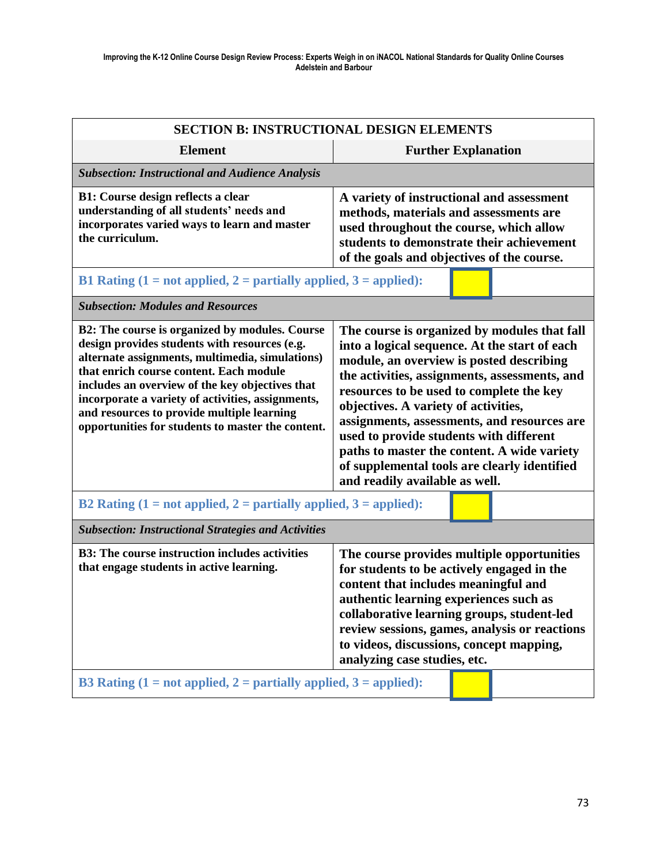| <b>SECTION B: INSTRUCTIONAL DESIGN ELEMENTS</b>                                                                                                                                                                                                                                                                                                                                                          |                                                                                                                                                                                                                                                                                                                                                                                                                                                                                                           |  |
|----------------------------------------------------------------------------------------------------------------------------------------------------------------------------------------------------------------------------------------------------------------------------------------------------------------------------------------------------------------------------------------------------------|-----------------------------------------------------------------------------------------------------------------------------------------------------------------------------------------------------------------------------------------------------------------------------------------------------------------------------------------------------------------------------------------------------------------------------------------------------------------------------------------------------------|--|
| <b>Element</b>                                                                                                                                                                                                                                                                                                                                                                                           | <b>Further Explanation</b>                                                                                                                                                                                                                                                                                                                                                                                                                                                                                |  |
| <b>Subsection: Instructional and Audience Analysis</b>                                                                                                                                                                                                                                                                                                                                                   |                                                                                                                                                                                                                                                                                                                                                                                                                                                                                                           |  |
| <b>B1:</b> Course design reflects a clear<br>understanding of all students' needs and<br>incorporates varied ways to learn and master<br>the curriculum.                                                                                                                                                                                                                                                 | A variety of instructional and assessment<br>methods, materials and assessments are<br>used throughout the course, which allow<br>students to demonstrate their achievement<br>of the goals and objectives of the course.                                                                                                                                                                                                                                                                                 |  |
| B1 Rating $(1 = not applied, 2 = partially applied, 3 = applied):$                                                                                                                                                                                                                                                                                                                                       |                                                                                                                                                                                                                                                                                                                                                                                                                                                                                                           |  |
| <b>Subsection: Modules and Resources</b>                                                                                                                                                                                                                                                                                                                                                                 |                                                                                                                                                                                                                                                                                                                                                                                                                                                                                                           |  |
| B2: The course is organized by modules. Course<br>design provides students with resources (e.g.<br>alternate assignments, multimedia, simulations)<br>that enrich course content. Each module<br>includes an overview of the key objectives that<br>incorporate a variety of activities, assignments,<br>and resources to provide multiple learning<br>opportunities for students to master the content. | The course is organized by modules that fall<br>into a logical sequence. At the start of each<br>module, an overview is posted describing<br>the activities, assignments, assessments, and<br>resources to be used to complete the key<br>objectives. A variety of activities,<br>assignments, assessments, and resources are<br>used to provide students with different<br>paths to master the content. A wide variety<br>of supplemental tools are clearly identified<br>and readily available as well. |  |
| B2 Rating $(1 = not applied, 2 = partially applied, 3 = applied):$                                                                                                                                                                                                                                                                                                                                       |                                                                                                                                                                                                                                                                                                                                                                                                                                                                                                           |  |
| <b>Subsection: Instructional Strategies and Activities</b>                                                                                                                                                                                                                                                                                                                                               |                                                                                                                                                                                                                                                                                                                                                                                                                                                                                                           |  |
| <b>B3: The course instruction includes activities</b><br>that engage students in active learning.                                                                                                                                                                                                                                                                                                        | The course provides multiple opportunities<br>for students to be actively engaged in the<br>content that includes meaningful and<br>authentic learning experiences such as<br>collaborative learning groups, student-led<br>review sessions, games, analysis or reactions<br>to videos, discussions, concept mapping,<br>analyzing case studies, etc.                                                                                                                                                     |  |
| B3 Rating $(1 = not applied, 2 = partially applied, 3 = applied):$                                                                                                                                                                                                                                                                                                                                       |                                                                                                                                                                                                                                                                                                                                                                                                                                                                                                           |  |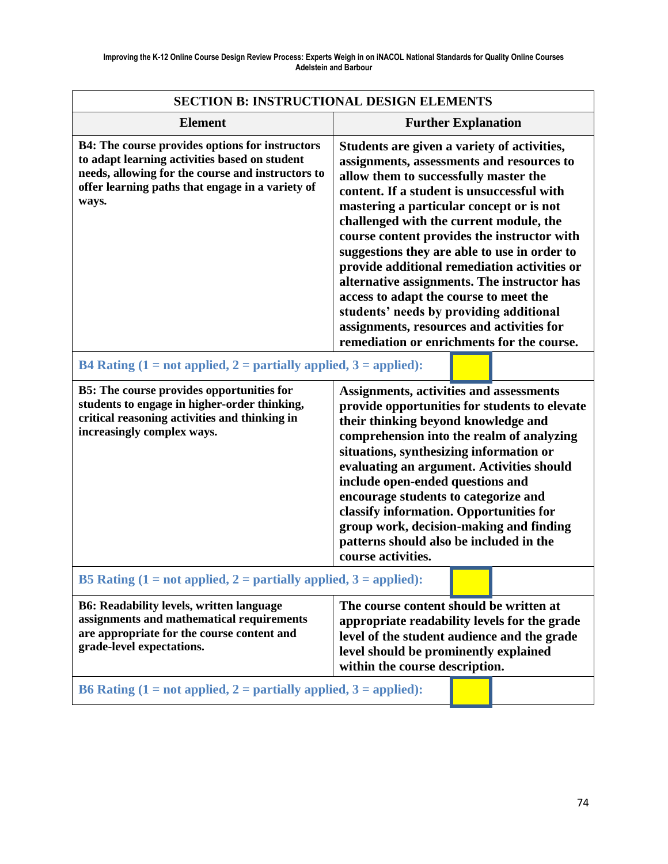| <b>SECTION B: INSTRUCTIONAL DESIGN ELEMENTS</b>                                                                                                                                                                    |                                                                                                                                                                                                                                                                                                                                                                                                                                                                                                                                                                                                                                                      |  |  |
|--------------------------------------------------------------------------------------------------------------------------------------------------------------------------------------------------------------------|------------------------------------------------------------------------------------------------------------------------------------------------------------------------------------------------------------------------------------------------------------------------------------------------------------------------------------------------------------------------------------------------------------------------------------------------------------------------------------------------------------------------------------------------------------------------------------------------------------------------------------------------------|--|--|
| <b>Element</b>                                                                                                                                                                                                     | <b>Further Explanation</b>                                                                                                                                                                                                                                                                                                                                                                                                                                                                                                                                                                                                                           |  |  |
| B4: The course provides options for instructors<br>to adapt learning activities based on student<br>needs, allowing for the course and instructors to<br>offer learning paths that engage in a variety of<br>ways. | Students are given a variety of activities,<br>assignments, assessments and resources to<br>allow them to successfully master the<br>content. If a student is unsuccessful with<br>mastering a particular concept or is not<br>challenged with the current module, the<br>course content provides the instructor with<br>suggestions they are able to use in order to<br>provide additional remediation activities or<br>alternative assignments. The instructor has<br>access to adapt the course to meet the<br>students' needs by providing additional<br>assignments, resources and activities for<br>remediation or enrichments for the course. |  |  |
| B4 Rating $(1 = not applied, 2 = partially applied, 3 = applied):$                                                                                                                                                 |                                                                                                                                                                                                                                                                                                                                                                                                                                                                                                                                                                                                                                                      |  |  |
| <b>B5:</b> The course provides opportunities for<br>students to engage in higher-order thinking,<br>critical reasoning activities and thinking in<br>increasingly complex ways.                                    | Assignments, activities and assessments<br>provide opportunities for students to elevate<br>their thinking beyond knowledge and<br>comprehension into the realm of analyzing<br>situations, synthesizing information or<br>evaluating an argument. Activities should<br>include open-ended questions and<br>encourage students to categorize and<br>classify information. Opportunities for<br>group work, decision-making and finding<br>patterns should also be included in the<br>course activities.                                                                                                                                              |  |  |
| B5 Rating $(1 = not applied, 2 = partially applied, 3 = applied):$                                                                                                                                                 |                                                                                                                                                                                                                                                                                                                                                                                                                                                                                                                                                                                                                                                      |  |  |
| <b>B6: Readability levels, written language</b><br>assignments and mathematical requirements<br>are appropriate for the course content and<br>grade-level expectations.                                            | The course content should be written at<br>appropriate readability levels for the grade<br>level of the student audience and the grade<br>level should be prominently explained<br>within the course description.                                                                                                                                                                                                                                                                                                                                                                                                                                    |  |  |
| B6 Rating $(1 = not applied, 2 = partially applied, 3 = applied):$                                                                                                                                                 |                                                                                                                                                                                                                                                                                                                                                                                                                                                                                                                                                                                                                                                      |  |  |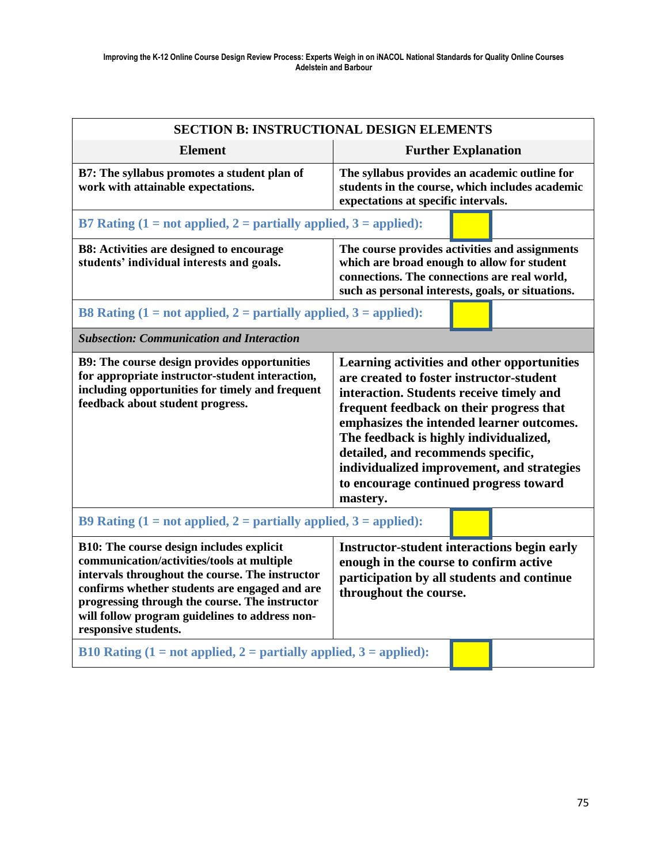| <b>SECTION B: INSTRUCTIONAL DESIGN ELEMENTS</b>                                                                                                                                                                                                                                                                               |                                                                                                                                                                                                                                                                                                                                                                                                                  |  |
|-------------------------------------------------------------------------------------------------------------------------------------------------------------------------------------------------------------------------------------------------------------------------------------------------------------------------------|------------------------------------------------------------------------------------------------------------------------------------------------------------------------------------------------------------------------------------------------------------------------------------------------------------------------------------------------------------------------------------------------------------------|--|
| <b>Element</b>                                                                                                                                                                                                                                                                                                                | <b>Further Explanation</b>                                                                                                                                                                                                                                                                                                                                                                                       |  |
| B7: The syllabus promotes a student plan of<br>work with attainable expectations.                                                                                                                                                                                                                                             | The syllabus provides an academic outline for<br>students in the course, which includes academic<br>expectations at specific intervals.                                                                                                                                                                                                                                                                          |  |
| B7 Rating $(1 = not applied, 2 = partially applied, 3 = applied)$ :                                                                                                                                                                                                                                                           |                                                                                                                                                                                                                                                                                                                                                                                                                  |  |
| <b>B8:</b> Activities are designed to encourage<br>students' individual interests and goals.                                                                                                                                                                                                                                  | The course provides activities and assignments<br>which are broad enough to allow for student<br>connections. The connections are real world,<br>such as personal interests, goals, or situations.                                                                                                                                                                                                               |  |
| B8 Rating $(1 = not applied, 2 = partially applied, 3 = applied)$ :                                                                                                                                                                                                                                                           |                                                                                                                                                                                                                                                                                                                                                                                                                  |  |
| <b>Subsection: Communication and Interaction</b>                                                                                                                                                                                                                                                                              |                                                                                                                                                                                                                                                                                                                                                                                                                  |  |
| B9: The course design provides opportunities<br>for appropriate instructor-student interaction,<br>including opportunities for timely and frequent<br>feedback about student progress.                                                                                                                                        | Learning activities and other opportunities<br>are created to foster instructor-student<br>interaction. Students receive timely and<br>frequent feedback on their progress that<br>emphasizes the intended learner outcomes.<br>The feedback is highly individualized,<br>detailed, and recommends specific,<br>individualized improvement, and strategies<br>to encourage continued progress toward<br>mastery. |  |
| B9 Rating $(1 = not applied, 2 = partially applied, 3 = applied)$ :                                                                                                                                                                                                                                                           |                                                                                                                                                                                                                                                                                                                                                                                                                  |  |
| <b>B10:</b> The course design includes explicit<br>communication/activities/tools at multiple<br>intervals throughout the course. The instructor<br>confirms whether students are engaged and are<br>progressing through the course. The instructor<br>will follow program guidelines to address non-<br>responsive students. | <b>Instructor-student interactions begin early</b><br>enough in the course to confirm active<br>participation by all students and continue<br>throughout the course.                                                                                                                                                                                                                                             |  |
| B10 Rating $(1 = not applied, 2 = partially applied, 3 = applied)$ :                                                                                                                                                                                                                                                          |                                                                                                                                                                                                                                                                                                                                                                                                                  |  |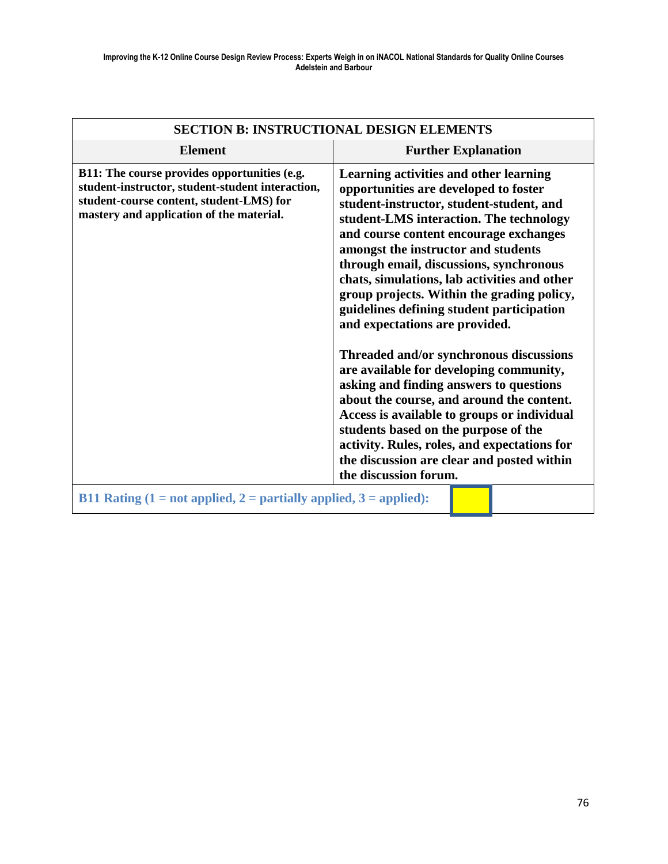| <b>SECTION B: INSTRUCTIONAL DESIGN ELEMENTS</b>                                                                                                                                          |                                                                                                                                                                                                                                                                                                                                                                                                                                                                                                                                                                                                                                                                                                                                                                                                                                                                             |  |  |
|------------------------------------------------------------------------------------------------------------------------------------------------------------------------------------------|-----------------------------------------------------------------------------------------------------------------------------------------------------------------------------------------------------------------------------------------------------------------------------------------------------------------------------------------------------------------------------------------------------------------------------------------------------------------------------------------------------------------------------------------------------------------------------------------------------------------------------------------------------------------------------------------------------------------------------------------------------------------------------------------------------------------------------------------------------------------------------|--|--|
| <b>Element</b>                                                                                                                                                                           | <b>Further Explanation</b>                                                                                                                                                                                                                                                                                                                                                                                                                                                                                                                                                                                                                                                                                                                                                                                                                                                  |  |  |
| B11: The course provides opportunities (e.g.<br>student-instructor, student-student interaction,<br>student-course content, student-LMS) for<br>mastery and application of the material. | Learning activities and other learning<br>opportunities are developed to foster<br>student-instructor, student-student, and<br>student-LMS interaction. The technology<br>and course content encourage exchanges<br>amongst the instructor and students<br>through email, discussions, synchronous<br>chats, simulations, lab activities and other<br>group projects. Within the grading policy,<br>guidelines defining student participation<br>and expectations are provided.<br>Threaded and/or synchronous discussions<br>are available for developing community,<br>asking and finding answers to questions<br>about the course, and around the content.<br>Access is available to groups or individual<br>students based on the purpose of the<br>activity. Rules, roles, and expectations for<br>the discussion are clear and posted within<br>the discussion forum. |  |  |
| B11 Rating $(1 = not applied, 2 = partially applied, 3 = applied):$                                                                                                                      |                                                                                                                                                                                                                                                                                                                                                                                                                                                                                                                                                                                                                                                                                                                                                                                                                                                                             |  |  |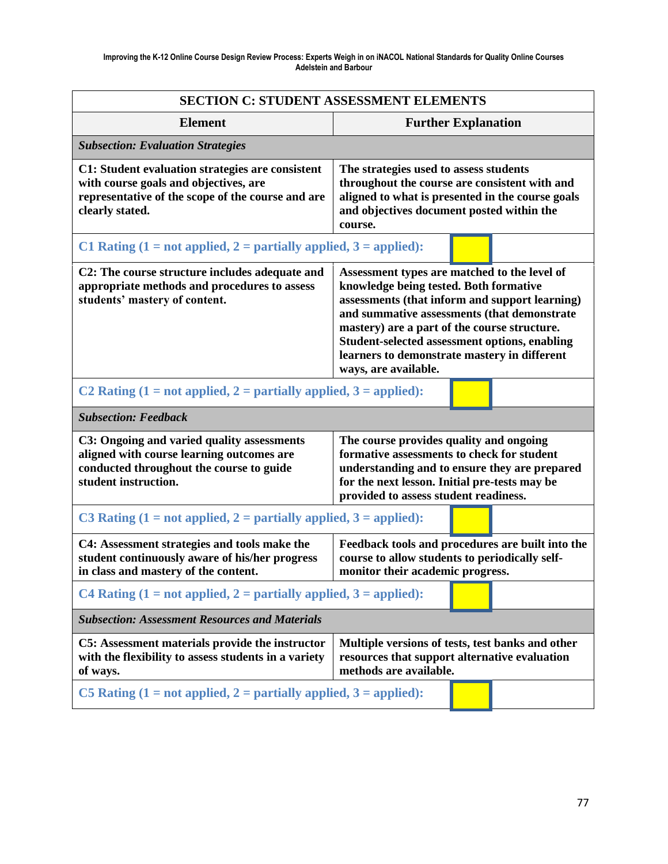| <b>SECTION C: STUDENT ASSESSMENT ELEMENTS</b>                                                                                                                                                                                                                                    |                                                                                                                                                                                                                                                                                                                                                                         |  |  |
|----------------------------------------------------------------------------------------------------------------------------------------------------------------------------------------------------------------------------------------------------------------------------------|-------------------------------------------------------------------------------------------------------------------------------------------------------------------------------------------------------------------------------------------------------------------------------------------------------------------------------------------------------------------------|--|--|
| <b>Element</b>                                                                                                                                                                                                                                                                   | <b>Further Explanation</b>                                                                                                                                                                                                                                                                                                                                              |  |  |
| <b>Subsection: Evaluation Strategies</b>                                                                                                                                                                                                                                         |                                                                                                                                                                                                                                                                                                                                                                         |  |  |
| C1: Student evaluation strategies are consistent<br>with course goals and objectives, are<br>representative of the scope of the course and are<br>clearly stated.                                                                                                                | The strategies used to assess students<br>throughout the course are consistent with and<br>aligned to what is presented in the course goals<br>and objectives document posted within the<br>course.                                                                                                                                                                     |  |  |
| C1 Rating $(1 = not applied, 2 = partially applied, 3 = applied)$ :                                                                                                                                                                                                              |                                                                                                                                                                                                                                                                                                                                                                         |  |  |
| C2: The course structure includes adequate and<br>appropriate methods and procedures to assess<br>students' mastery of content.                                                                                                                                                  | Assessment types are matched to the level of<br>knowledge being tested. Both formative<br>assessments (that inform and support learning)<br>and summative assessments (that demonstrate<br>mastery) are a part of the course structure.<br><b>Student-selected assessment options, enabling</b><br>learners to demonstrate mastery in different<br>ways, are available. |  |  |
| C2 Rating $(1 = not applied, 2 = partially applied, 3 = applied)$ :                                                                                                                                                                                                              |                                                                                                                                                                                                                                                                                                                                                                         |  |  |
| <b>Subsection: Feedback</b>                                                                                                                                                                                                                                                      |                                                                                                                                                                                                                                                                                                                                                                         |  |  |
| C3: Ongoing and varied quality assessments<br>aligned with course learning outcomes are<br>conducted throughout the course to guide<br>student instruction.                                                                                                                      | The course provides quality and ongoing<br>formative assessments to check for student<br>understanding and to ensure they are prepared<br>for the next lesson. Initial pre-tests may be<br>provided to assess student readiness.                                                                                                                                        |  |  |
| C3 Rating $(1 = not applied, 2 = partially applied, 3 = applied):$                                                                                                                                                                                                               |                                                                                                                                                                                                                                                                                                                                                                         |  |  |
| Feedback tools and procedures are built into the<br>C4: Assessment strategies and tools make the<br>course to allow students to periodically self-<br>student continuously aware of his/her progress<br>in class and mastery of the content.<br>monitor their academic progress. |                                                                                                                                                                                                                                                                                                                                                                         |  |  |
| C4 Rating $(1 = not applied, 2 = partially applied, 3 = applied):$                                                                                                                                                                                                               |                                                                                                                                                                                                                                                                                                                                                                         |  |  |
| <b>Subsection: Assessment Resources and Materials</b>                                                                                                                                                                                                                            |                                                                                                                                                                                                                                                                                                                                                                         |  |  |
| C5: Assessment materials provide the instructor<br>with the flexibility to assess students in a variety<br>of ways.                                                                                                                                                              | Multiple versions of tests, test banks and other<br>resources that support alternative evaluation<br>methods are available.                                                                                                                                                                                                                                             |  |  |
| C5 Rating $(1 = not applied, 2 = partially applied, 3 = applied):$                                                                                                                                                                                                               |                                                                                                                                                                                                                                                                                                                                                                         |  |  |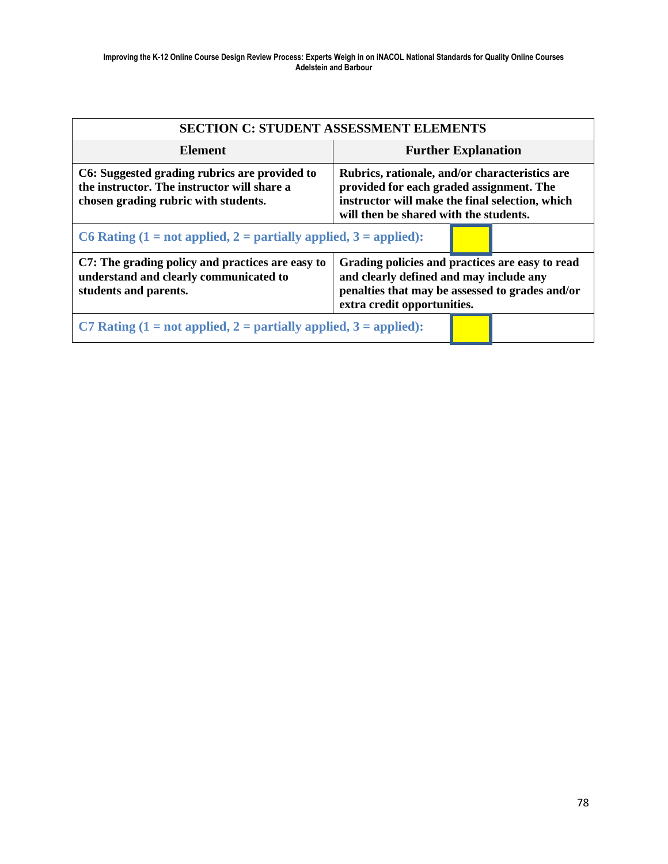| <b>SECTION C: STUDENT ASSESSMENT ELEMENTS</b>                                                                                        |                                                                                                                                                                                         |  |
|--------------------------------------------------------------------------------------------------------------------------------------|-----------------------------------------------------------------------------------------------------------------------------------------------------------------------------------------|--|
| Element                                                                                                                              | <b>Further Explanation</b>                                                                                                                                                              |  |
| C6: Suggested grading rubrics are provided to<br>the instructor. The instructor will share a<br>chosen grading rubric with students. | Rubrics, rationale, and/or characteristics are<br>provided for each graded assignment. The<br>instructor will make the final selection, which<br>will then be shared with the students. |  |
| C6 Rating $(1 = not applied, 2 = partially applied, 3 = applied):$                                                                   |                                                                                                                                                                                         |  |
| C7: The grading policy and practices are easy to<br>understand and clearly communicated to<br>students and parents.                  | Grading policies and practices are easy to read<br>and clearly defined and may include any<br>penalties that may be assessed to grades and/or<br>extra credit opportunities.            |  |
| C7 Rating $(1 = not applied, 2 = partially applied, 3 = applied):$                                                                   |                                                                                                                                                                                         |  |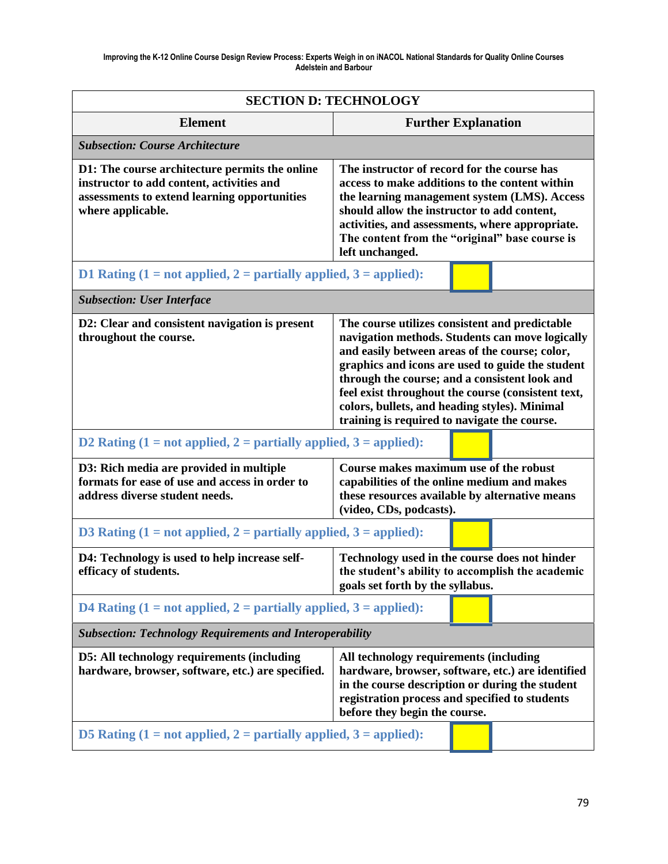| <b>SECTION D: TECHNOLOGY</b>                                                                                                                                     |                                                                                                                                                                                                                                                                                                                                                                                                                 |  |  |  |
|------------------------------------------------------------------------------------------------------------------------------------------------------------------|-----------------------------------------------------------------------------------------------------------------------------------------------------------------------------------------------------------------------------------------------------------------------------------------------------------------------------------------------------------------------------------------------------------------|--|--|--|
| <b>Element</b>                                                                                                                                                   | <b>Further Explanation</b>                                                                                                                                                                                                                                                                                                                                                                                      |  |  |  |
| <b>Subsection: Course Architecture</b>                                                                                                                           |                                                                                                                                                                                                                                                                                                                                                                                                                 |  |  |  |
| D1: The course architecture permits the online<br>instructor to add content, activities and<br>assessments to extend learning opportunities<br>where applicable. | The instructor of record for the course has<br>access to make additions to the content within<br>the learning management system (LMS). Access<br>should allow the instructor to add content,<br>activities, and assessments, where appropriate.<br>The content from the "original" base course is<br>left unchanged.                                                                                            |  |  |  |
| D1 Rating $(1 = not applied, 2 = partially applied, 3 = applied):$                                                                                               |                                                                                                                                                                                                                                                                                                                                                                                                                 |  |  |  |
| <b>Subsection: User Interface</b>                                                                                                                                |                                                                                                                                                                                                                                                                                                                                                                                                                 |  |  |  |
| D2: Clear and consistent navigation is present<br>throughout the course.                                                                                         | The course utilizes consistent and predictable<br>navigation methods. Students can move logically<br>and easily between areas of the course; color,<br>graphics and icons are used to guide the student<br>through the course; and a consistent look and<br>feel exist throughout the course (consistent text,<br>colors, bullets, and heading styles). Minimal<br>training is required to navigate the course. |  |  |  |
| D2 Rating $(1 = not applied, 2 = partially applied, 3 = applied):$                                                                                               |                                                                                                                                                                                                                                                                                                                                                                                                                 |  |  |  |
| D3: Rich media are provided in multiple<br>formats for ease of use and access in order to<br>address diverse student needs.                                      | Course makes maximum use of the robust<br>capabilities of the online medium and makes<br>these resources available by alternative means<br>(video, CDs, podcasts).                                                                                                                                                                                                                                              |  |  |  |
| D3 Rating $(1 = not applied, 2 = partially applied, 3 = applied):$                                                                                               |                                                                                                                                                                                                                                                                                                                                                                                                                 |  |  |  |
| D4: Technology is used to help increase self-<br>efficacy of students.                                                                                           | Technology used in the course does not hinder<br>the student's ability to accomplish the academic<br>goals set forth by the syllabus.                                                                                                                                                                                                                                                                           |  |  |  |
| D4 Rating $(1 = not applied, 2 = partially applied, 3 = applied):$                                                                                               |                                                                                                                                                                                                                                                                                                                                                                                                                 |  |  |  |
| <b>Subsection: Technology Requirements and Interoperability</b>                                                                                                  |                                                                                                                                                                                                                                                                                                                                                                                                                 |  |  |  |
| <b>D5:</b> All technology requirements (including<br>hardware, browser, software, etc.) are specified.                                                           | All technology requirements (including<br>hardware, browser, software, etc.) are identified<br>in the course description or during the student<br>registration process and specified to students<br>before they begin the course.                                                                                                                                                                               |  |  |  |
| D5 Rating $(1 = not applied, 2 = partially applied, 3 = applied):$                                                                                               |                                                                                                                                                                                                                                                                                                                                                                                                                 |  |  |  |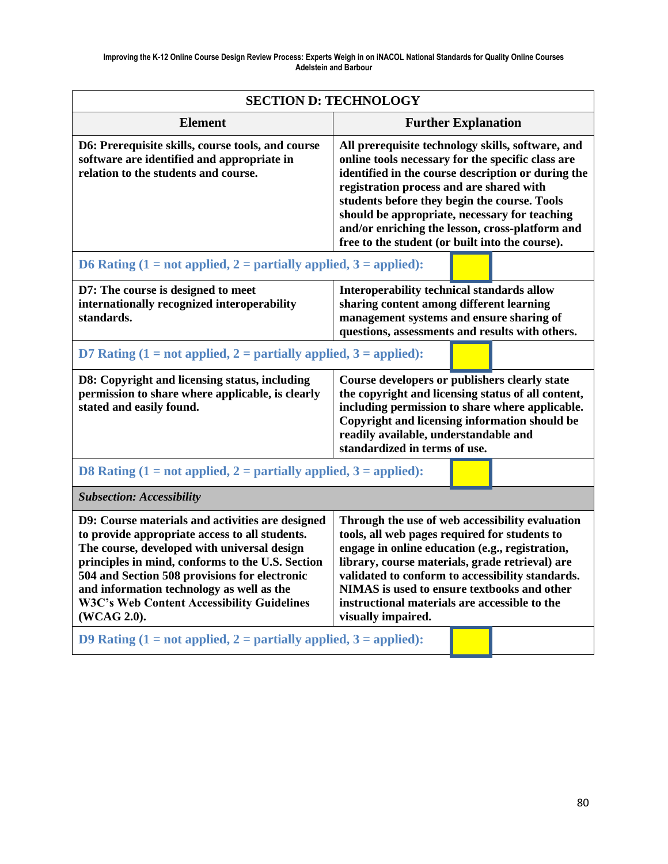| <b>SECTION D: TECHNOLOGY</b>                                                                                                                                                                                                                                                                                                                                                                                                                  |                                                                                                                                                                                                                                                                                                                                                                                                                 |  |  |  |
|-----------------------------------------------------------------------------------------------------------------------------------------------------------------------------------------------------------------------------------------------------------------------------------------------------------------------------------------------------------------------------------------------------------------------------------------------|-----------------------------------------------------------------------------------------------------------------------------------------------------------------------------------------------------------------------------------------------------------------------------------------------------------------------------------------------------------------------------------------------------------------|--|--|--|
| <b>Element</b>                                                                                                                                                                                                                                                                                                                                                                                                                                | <b>Further Explanation</b>                                                                                                                                                                                                                                                                                                                                                                                      |  |  |  |
| D6: Prerequisite skills, course tools, and course<br>software are identified and appropriate in<br>relation to the students and course.                                                                                                                                                                                                                                                                                                       | All prerequisite technology skills, software, and<br>online tools necessary for the specific class are<br>identified in the course description or during the<br>registration process and are shared with<br>students before they begin the course. Tools<br>should be appropriate, necessary for teaching<br>and/or enriching the lesson, cross-platform and<br>free to the student (or built into the course). |  |  |  |
| D6 Rating $(1 = not applied, 2 = partially applied, 3 = applied):$                                                                                                                                                                                                                                                                                                                                                                            |                                                                                                                                                                                                                                                                                                                                                                                                                 |  |  |  |
| D7: The course is designed to meet<br>internationally recognized interoperability<br>standards.                                                                                                                                                                                                                                                                                                                                               | Interoperability technical standards allow<br>sharing content among different learning<br>management systems and ensure sharing of<br>questions, assessments and results with others.                                                                                                                                                                                                                           |  |  |  |
| D7 Rating $(1 = not applied, 2 = partially applied, 3 = applied):$                                                                                                                                                                                                                                                                                                                                                                            |                                                                                                                                                                                                                                                                                                                                                                                                                 |  |  |  |
| D8: Copyright and licensing status, including<br>permission to share where applicable, is clearly<br>stated and easily found.                                                                                                                                                                                                                                                                                                                 | Course developers or publishers clearly state<br>the copyright and licensing status of all content,<br>including permission to share where applicable.<br>Copyright and licensing information should be<br>readily available, understandable and<br>standardized in terms of use.                                                                                                                               |  |  |  |
| D8 Rating $(1 = not applied, 2 = partially applied, 3 = applied):$                                                                                                                                                                                                                                                                                                                                                                            |                                                                                                                                                                                                                                                                                                                                                                                                                 |  |  |  |
| <b>Subsection: Accessibility</b>                                                                                                                                                                                                                                                                                                                                                                                                              |                                                                                                                                                                                                                                                                                                                                                                                                                 |  |  |  |
| D9: Course materials and activities are designed<br>to provide appropriate access to all students.<br>The course, developed with universal design<br>principles in mind, conforms to the U.S. Section<br>504 and Section 508 provisions for electronic<br>and information technology as well as the<br><b>W3C's Web Content Accessibility Guidelines</b><br>(WCAG 2.0).<br>D9 Rating $(1 = not applied, 2 = partially applied, 3 = applied):$ | Through the use of web accessibility evaluation<br>tools, all web pages required for students to<br>engage in online education (e.g., registration,<br>library, course materials, grade retrieval) are<br>validated to conform to accessibility standards.<br>NIMAS is used to ensure textbooks and other<br>instructional materials are accessible to the<br>visually impaired.                                |  |  |  |
|                                                                                                                                                                                                                                                                                                                                                                                                                                               |                                                                                                                                                                                                                                                                                                                                                                                                                 |  |  |  |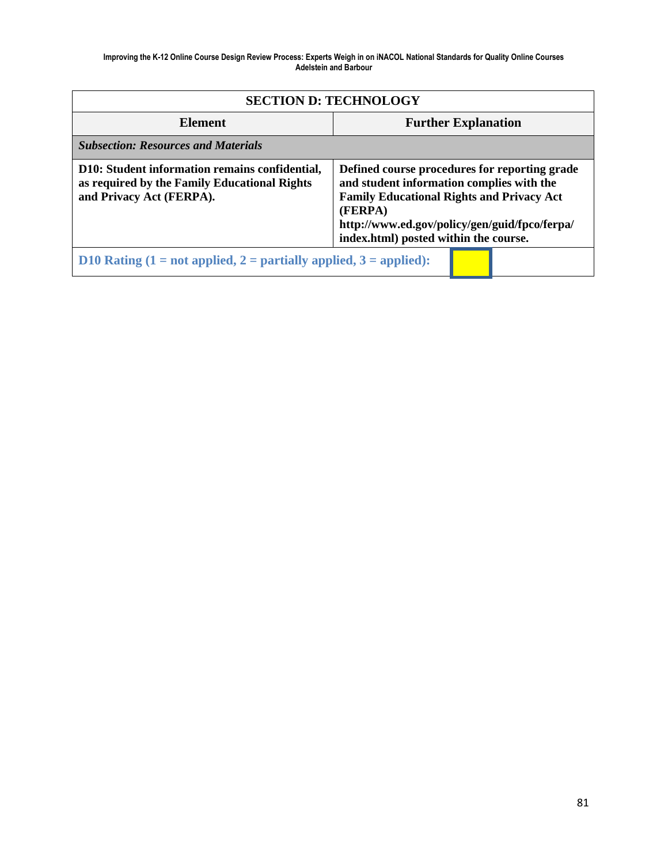| <b>SECTION D: TECHNOLOGY</b>                                                                                               |                                                                                                                                                                                                                                                     |  |  |  |  |
|----------------------------------------------------------------------------------------------------------------------------|-----------------------------------------------------------------------------------------------------------------------------------------------------------------------------------------------------------------------------------------------------|--|--|--|--|
| Element                                                                                                                    | <b>Further Explanation</b>                                                                                                                                                                                                                          |  |  |  |  |
| <b>Subsection: Resources and Materials</b>                                                                                 |                                                                                                                                                                                                                                                     |  |  |  |  |
| D10: Student information remains confidential,<br>as required by the Family Educational Rights<br>and Privacy Act (FERPA). | Defined course procedures for reporting grade<br>and student information complies with the<br><b>Family Educational Rights and Privacy Act</b><br>(FERPA)<br>http://www.ed.gov/policy/gen/guid/fpco/ferpa/<br>index.html) posted within the course. |  |  |  |  |
| D10 Rating $(1 = not applied, 2 = partially applied, 3 = applied):$                                                        |                                                                                                                                                                                                                                                     |  |  |  |  |